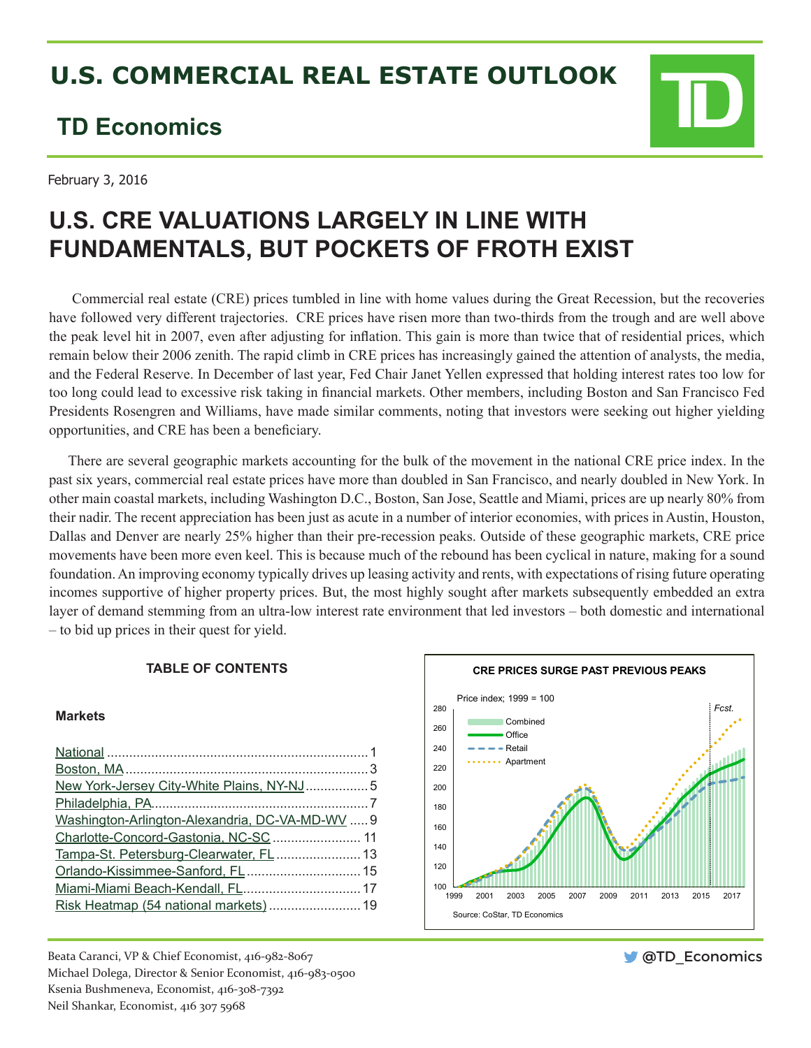# **U.S. COMMERCIAL REAL ESTATE OUTLOOK**

# **TD Economics**

February 3, 2016

# **U.S. CRE VALUATIONS LARGELY IN LINE WITH FUNDAMENTALS, BUT POCKETS OF FROTH EXIST**

 Commercial real estate (CRE) prices tumbled in line with home values during the Great Recession, but the recoveries have followed very different trajectories. CRE prices have risen more than two-thirds from the trough and are well above the peak level hit in 2007, even after adjusting for inflation. This gain is more than twice that of residential prices, which remain below their 2006 zenith. The rapid climb in CRE prices has increasingly gained the attention of analysts, the media, and the Federal Reserve. In December of last year, Fed Chair Janet Yellen expressed that holding interest rates too low for too long could lead to excessive risk taking in financial markets. Other members, including Boston and San Francisco Fed Presidents Rosengren and Williams, have made similar comments, noting that investors were seeking out higher yielding opportunities, and CRE has been a beneficiary.

There are several geographic markets accounting for the bulk of the movement in the national CRE price index. In the past six years, commercial real estate prices have more than doubled in San Francisco, and nearly doubled in New York. In other main coastal markets, including Washington D.C., Boston, San Jose, Seattle and Miami, prices are up nearly 80% from their nadir. The recent appreciation has been just as acute in a number of interior economies, with prices in Austin, Houston, Dallas and Denver are nearly 25% higher than their pre-recession peaks. Outside of these geographic markets, CRE price movements have been more even keel. This is because much of the rebound has been cyclical in nature, making for a sound foundation. An improving economy typically drives up leasing activity and rents, with expectations of rising future operating incomes supportive of higher property prices. But, the most highly sought after markets subsequently embedded an extra layer of demand stemming from an ultra-low interest rate environment that led investors – both domestic and international – to bid up prices in their quest for yield.

# **TABLE OF CONTENTS**

# **Markets**

| New York-Jersey City-White Plains, NY-NJ5       |  |
|-------------------------------------------------|--|
|                                                 |  |
| Washington-Arlington-Alexandria, DC-VA-MD-WV  9 |  |
|                                                 |  |
|                                                 |  |
|                                                 |  |
| Miami-Miami Beach-Kendall, FL 17                |  |
|                                                 |  |
|                                                 |  |

Beata Caranci, VP & Chief Economist, 416-982-8067 Michael Dolega, Director & Senior Economist, 416-983-0500 Ksenia Bushmeneva, Economist, 416-308-7392 Neil Shankar, Economist, 416 307 5968



**OTD** Economics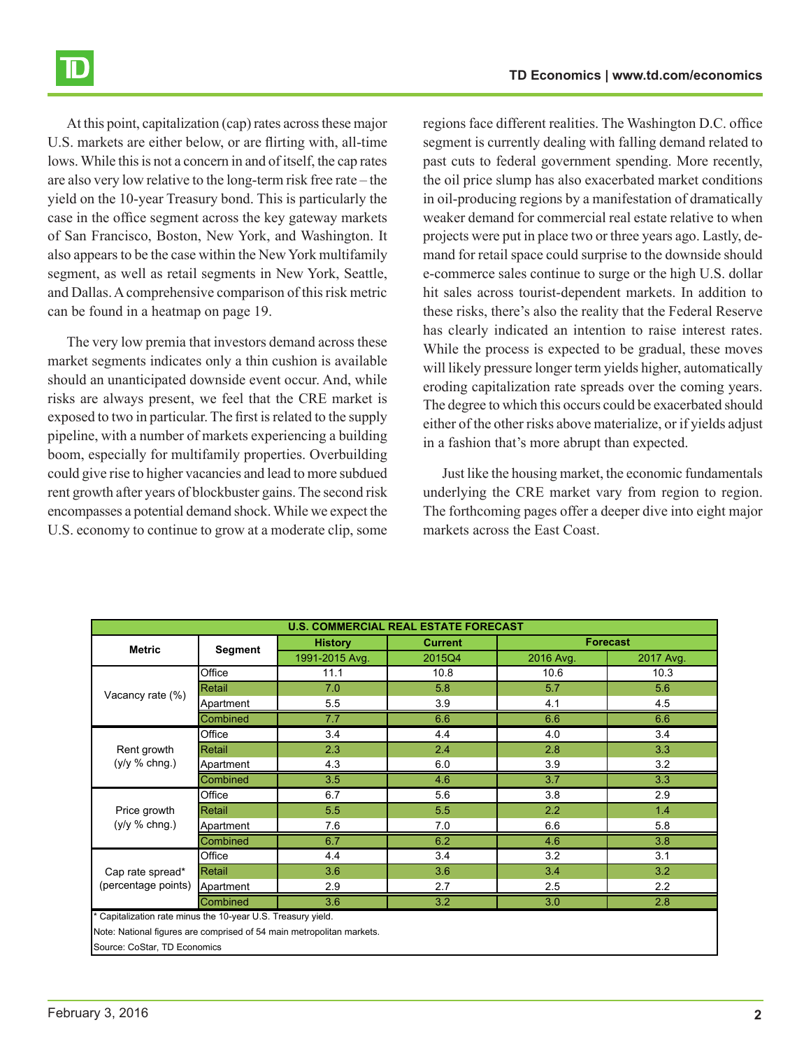At this point, capitalization (cap) rates across these major U.S. markets are either below, or are flirting with, all-time lows. While this is not a concern in and of itself, the cap rates are also very low relative to the long-term risk free rate – the yield on the 10-year Treasury bond. This is particularly the case in the office segment across the key gateway markets of San Francisco, Boston, New York, and Washington. It also appears to be the case within the New York multifamily segment, as well as retail segments in New York, Seattle, and Dallas. A comprehensive comparison of this risk metric can be found in a heatmap on page 19.

The very low premia that investors demand across these market segments indicates only a thin cushion is available should an unanticipated downside event occur. And, while risks are always present, we feel that the CRE market is exposed to two in particular. The first is related to the supply pipeline, with a number of markets experiencing a building boom, especially for multifamily properties. Overbuilding could give rise to higher vacancies and lead to more subdued rent growth after years of blockbuster gains. The second risk encompasses a potential demand shock. While we expect the U.S. economy to continue to grow at a moderate clip, some regions face different realities. The Washington D.C. office segment is currently dealing with falling demand related to past cuts to federal government spending. More recently, the oil price slump has also exacerbated market conditions in oil-producing regions by a manifestation of dramatically weaker demand for commercial real estate relative to when projects were put in place two or three years ago. Lastly, demand for retail space could surprise to the downside should e-commerce sales continue to surge or the high U.S. dollar hit sales across tourist-dependent markets. In addition to these risks, there's also the reality that the Federal Reserve has clearly indicated an intention to raise interest rates. While the process is expected to be gradual, these moves will likely pressure longer term yields higher, automatically eroding capitalization rate spreads over the coming years. The degree to which this occurs could be exacerbated should either of the other risks above materialize, or if yields adjust in a fashion that's more abrupt than expected.

Just like the housing market, the economic fundamentals underlying the CRE market vary from region to region. The forthcoming pages offer a deeper dive into eight major markets across the East Coast.

| <b>Forecast</b><br><b>History</b><br><b>Current</b><br><b>Metric</b><br><b>Segment</b><br>1991-2015 Avg.<br>2017 Avg.<br>2015Q4<br>2016 Avg.<br>Office<br>11.1<br>10.8<br>10.3<br>10.6<br>Retail<br>5.8<br>5.7<br>5.6<br>7.0<br>Vacancy rate (%)<br>5.5<br>3.9<br>4.1<br>4.5<br>Apartment<br>Combined<br>7.7<br>6.6<br>6.6<br>6.6<br>Office<br>3.4<br>3.4<br>4.0<br>4.4<br>2.8<br>3.3<br>Retail<br>2.3<br>2.4<br>Rent growth<br>$(y/y \% chng.)$<br>4.3<br>6.0<br>3.9<br>3.2<br>Apartment<br>$\overline{3.7}$<br>3.5<br>3.3<br>Combined<br>4.6<br>Office<br>3.8<br>6.7<br>5.6<br>2.9<br>2.2<br>Price growth<br>Retail<br>5.5<br>5.5<br>1.4<br>$(y/y \% chng.)$<br>7.6<br>6.6<br>5.8<br>7.0<br>Apartment<br>6.7<br>3.8<br>6.2<br><b>Combined</b><br>4.6<br>Office<br>3.2<br>3.1<br>3.4<br>4.4<br>Retail<br>3.6<br>3.6<br>3.4<br>3.2<br>Cap rate spread*<br>(percentage points)<br>2.9<br>2.7<br>2.2<br>Apartment<br>2.5<br>Combined<br>3.6<br>3.2<br>3.0<br>2.8<br>* Capitalization rate minus the 10-year U.S. Treasury yield.<br>Note: National figures are comprised of 54 main metropolitan markets. | <b>U.S. COMMERCIAL REAL ESTATE FORECAST</b> |  |  |  |  |  |
|---------------------------------------------------------------------------------------------------------------------------------------------------------------------------------------------------------------------------------------------------------------------------------------------------------------------------------------------------------------------------------------------------------------------------------------------------------------------------------------------------------------------------------------------------------------------------------------------------------------------------------------------------------------------------------------------------------------------------------------------------------------------------------------------------------------------------------------------------------------------------------------------------------------------------------------------------------------------------------------------------------------------------------------------------------------------------------------------------------|---------------------------------------------|--|--|--|--|--|
|                                                                                                                                                                                                                                                                                                                                                                                                                                                                                                                                                                                                                                                                                                                                                                                                                                                                                                                                                                                                                                                                                                         |                                             |  |  |  |  |  |
|                                                                                                                                                                                                                                                                                                                                                                                                                                                                                                                                                                                                                                                                                                                                                                                                                                                                                                                                                                                                                                                                                                         |                                             |  |  |  |  |  |
|                                                                                                                                                                                                                                                                                                                                                                                                                                                                                                                                                                                                                                                                                                                                                                                                                                                                                                                                                                                                                                                                                                         |                                             |  |  |  |  |  |
|                                                                                                                                                                                                                                                                                                                                                                                                                                                                                                                                                                                                                                                                                                                                                                                                                                                                                                                                                                                                                                                                                                         |                                             |  |  |  |  |  |
|                                                                                                                                                                                                                                                                                                                                                                                                                                                                                                                                                                                                                                                                                                                                                                                                                                                                                                                                                                                                                                                                                                         |                                             |  |  |  |  |  |
|                                                                                                                                                                                                                                                                                                                                                                                                                                                                                                                                                                                                                                                                                                                                                                                                                                                                                                                                                                                                                                                                                                         |                                             |  |  |  |  |  |
|                                                                                                                                                                                                                                                                                                                                                                                                                                                                                                                                                                                                                                                                                                                                                                                                                                                                                                                                                                                                                                                                                                         |                                             |  |  |  |  |  |
|                                                                                                                                                                                                                                                                                                                                                                                                                                                                                                                                                                                                                                                                                                                                                                                                                                                                                                                                                                                                                                                                                                         |                                             |  |  |  |  |  |
|                                                                                                                                                                                                                                                                                                                                                                                                                                                                                                                                                                                                                                                                                                                                                                                                                                                                                                                                                                                                                                                                                                         |                                             |  |  |  |  |  |
|                                                                                                                                                                                                                                                                                                                                                                                                                                                                                                                                                                                                                                                                                                                                                                                                                                                                                                                                                                                                                                                                                                         |                                             |  |  |  |  |  |
|                                                                                                                                                                                                                                                                                                                                                                                                                                                                                                                                                                                                                                                                                                                                                                                                                                                                                                                                                                                                                                                                                                         |                                             |  |  |  |  |  |
|                                                                                                                                                                                                                                                                                                                                                                                                                                                                                                                                                                                                                                                                                                                                                                                                                                                                                                                                                                                                                                                                                                         |                                             |  |  |  |  |  |
|                                                                                                                                                                                                                                                                                                                                                                                                                                                                                                                                                                                                                                                                                                                                                                                                                                                                                                                                                                                                                                                                                                         |                                             |  |  |  |  |  |
|                                                                                                                                                                                                                                                                                                                                                                                                                                                                                                                                                                                                                                                                                                                                                                                                                                                                                                                                                                                                                                                                                                         |                                             |  |  |  |  |  |
|                                                                                                                                                                                                                                                                                                                                                                                                                                                                                                                                                                                                                                                                                                                                                                                                                                                                                                                                                                                                                                                                                                         |                                             |  |  |  |  |  |
|                                                                                                                                                                                                                                                                                                                                                                                                                                                                                                                                                                                                                                                                                                                                                                                                                                                                                                                                                                                                                                                                                                         |                                             |  |  |  |  |  |
|                                                                                                                                                                                                                                                                                                                                                                                                                                                                                                                                                                                                                                                                                                                                                                                                                                                                                                                                                                                                                                                                                                         |                                             |  |  |  |  |  |
|                                                                                                                                                                                                                                                                                                                                                                                                                                                                                                                                                                                                                                                                                                                                                                                                                                                                                                                                                                                                                                                                                                         |                                             |  |  |  |  |  |
|                                                                                                                                                                                                                                                                                                                                                                                                                                                                                                                                                                                                                                                                                                                                                                                                                                                                                                                                                                                                                                                                                                         |                                             |  |  |  |  |  |
|                                                                                                                                                                                                                                                                                                                                                                                                                                                                                                                                                                                                                                                                                                                                                                                                                                                                                                                                                                                                                                                                                                         |                                             |  |  |  |  |  |
|                                                                                                                                                                                                                                                                                                                                                                                                                                                                                                                                                                                                                                                                                                                                                                                                                                                                                                                                                                                                                                                                                                         | Source: CoStar, TD Economics                |  |  |  |  |  |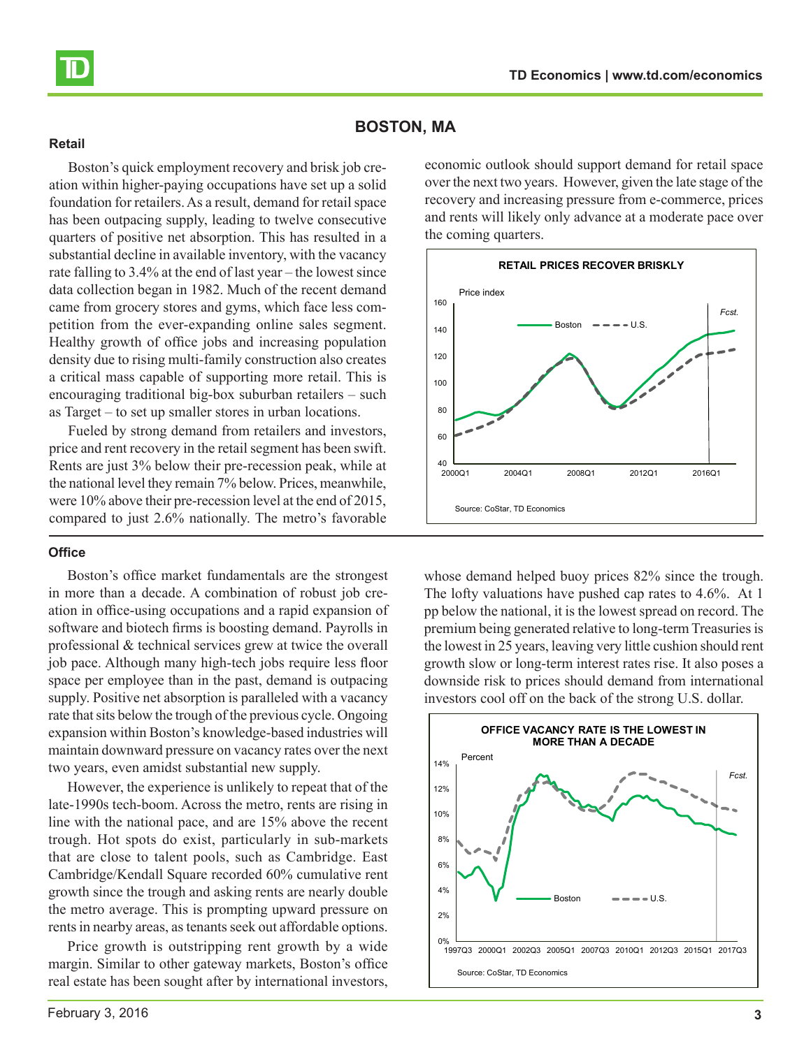<span id="page-2-0"></span>

# **BOSTON, MA**

#### **Retail**

Boston's quick employment recovery and brisk job creation within higher-paying occupations have set up a solid foundation for retailers. As a result, demand for retail space has been outpacing supply, leading to twelve consecutive quarters of positive net absorption. This has resulted in a substantial decline in available inventory, with the vacancy rate falling to 3.4% at the end of last year – the lowest since data collection began in 1982. Much of the recent demand came from grocery stores and gyms, which face less competition from the ever-expanding online sales segment. Healthy growth of office jobs and increasing population density due to rising multi-family construction also creates a critical mass capable of supporting more retail. This is encouraging traditional big-box suburban retailers – such as Target – to set up smaller stores in urban locations.

Fueled by strong demand from retailers and investors, price and rent recovery in the retail segment has been swift. Rents are just 3% below their pre-recession peak, while at the national level they remain 7% below. Prices, meanwhile, were 10% above their pre-recession level at the end of 2015, compared to just 2.6% nationally. The metro's favorable

## **Office**

Boston's office market fundamentals are the strongest in more than a decade. A combination of robust job creation in office-using occupations and a rapid expansion of software and biotech firms is boosting demand. Payrolls in professional & technical services grew at twice the overall job pace. Although many high-tech jobs require less floor space per employee than in the past, demand is outpacing supply. Positive net absorption is paralleled with a vacancy rate that sits below the trough of the previous cycle. Ongoing expansion within Boston's knowledge-based industries will maintain downward pressure on vacancy rates over the next two years, even amidst substantial new supply.

However, the experience is unlikely to repeat that of the late-1990s tech-boom. Across the metro, rents are rising in line with the national pace, and are 15% above the recent trough. Hot spots do exist, particularly in sub-markets that are close to talent pools, such as Cambridge. East Cambridge/Kendall Square recorded 60% cumulative rent growth since the trough and asking rents are nearly double the metro average. This is prompting upward pressure on rents in nearby areas, as tenants seek out affordable options.

Price growth is outstripping rent growth by a wide margin. Similar to other gateway markets, Boston's office real estate has been sought after by international investors, economic outlook should support demand for retail space over the next two years. However, given the late stage of the recovery and increasing pressure from e-commerce, prices and rents will likely only advance at a moderate pace over the coming quarters.



whose demand helped buoy prices  $82\%$  since the trough. The lofty valuations have pushed cap rates to 4.6%. At 1 pp below the national, it is the lowest spread on record. The premium being generated relative to long-term Treasuries is the lowest in 25 years, leaving very little cushion should rent growth slow or long-term interest rates rise. It also poses a downside risk to prices should demand from international investors cool off on the back of the strong U.S. dollar.

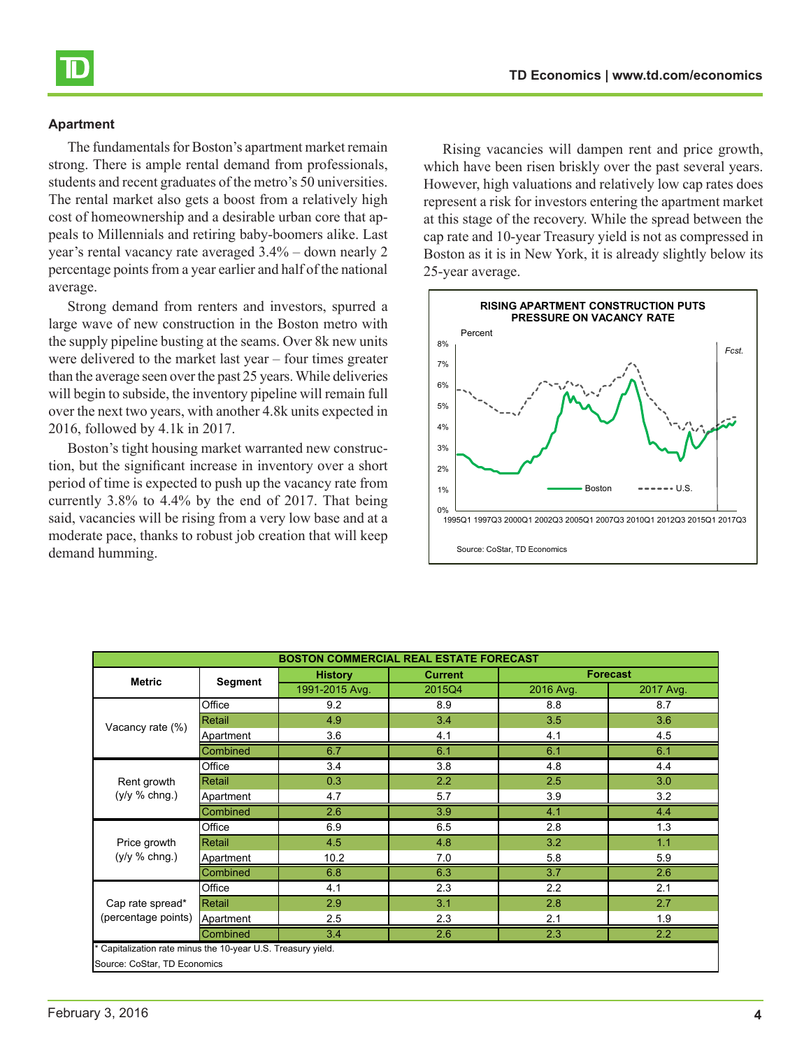

The fundamentals for Boston's apartment market remain strong. There is ample rental demand from professionals, students and recent graduates of the metro's 50 universities. The rental market also gets a boost from a relatively high cost of homeownership and a desirable urban core that appeals to Millennials and retiring baby-boomers alike. Last year's rental vacancy rate averaged 3.4% – down nearly 2 percentage points from a year earlier and half of the national average.

Strong demand from renters and investors, spurred a large wave of new construction in the Boston metro with the supply pipeline busting at the seams. Over 8k new units were delivered to the market last year – four times greater than the average seen over the past 25 years. While deliveries will begin to subside, the inventory pipeline will remain full over the next two years, with another 4.8k units expected in 2016, followed by 4.1k in 2017.

Boston's tight housing market warranted new construction, but the significant increase in inventory over a short period of time is expected to push up the vacancy rate from currently 3.8% to 4.4% by the end of 2017. That being said, vacancies will be rising from a very low base and at a moderate pace, thanks to robust job creation that will keep demand humming.

Rising vacancies will dampen rent and price growth, which have been risen briskly over the past several years. However, high valuations and relatively low cap rates does represent a risk for investors entering the apartment market at this stage of the recovery. While the spread between the cap rate and 10-year Treasury yield is not as compressed in Boston as it is in New York, it is already slightly below its 25-year average.



| <b>BOSTON COMMERCIAL REAL ESTATE FORECAST</b>                                              |           |                |                |           |                 |  |
|--------------------------------------------------------------------------------------------|-----------|----------------|----------------|-----------|-----------------|--|
|                                                                                            |           | <b>History</b> | <b>Current</b> |           | <b>Forecast</b> |  |
| <b>Metric</b>                                                                              | Segment   | 1991-2015 Avg. | 2015Q4         | 2016 Avg. | 2017 Avg.       |  |
|                                                                                            | Office    | 9.2            | 8.9            | 8.8       | 8.7             |  |
| Vacancy rate (%)                                                                           | Retail    | 4.9            | 3.4            | 3.5       | 3.6             |  |
|                                                                                            | Apartment | 3.6            | 4.1            | 4.1       | 4.5             |  |
|                                                                                            | Combined  | 6.7            | 6.1            | 6.1       | 6.1             |  |
|                                                                                            | Office    | 3.4            | 3.8            | 4.8       | 4.4             |  |
| Rent growth                                                                                | Retail    | 0.3            | 2.2            | 2.5       | 3.0             |  |
| $(y/y \% chng.)$                                                                           | Apartment | 4.7            | 5.7            | 3.9       | 3.2             |  |
|                                                                                            | Combined  | 2.6            | 3.9            | 4.1       | 4.4             |  |
|                                                                                            | Office    | 6.9            | 6.5            | 2.8       | 1.3             |  |
| Price growth                                                                               | Retail    | 4.5            | 4.8            | 3.2       | 1.1             |  |
| $(y/y \% chnq.)$                                                                           | Apartment | 10.2           | 7.0            | 5.8       | 5.9             |  |
|                                                                                            | Combined  | 6.8            | 6.3            | 3.7       | 2.6             |  |
|                                                                                            | Office    | 4.1            | 2.3            | 2.2       | 2.1             |  |
| Cap rate spread*<br>(percentage points)                                                    | Retail    | 2.9            | 3.1            | 2.8       | 2.7             |  |
|                                                                                            | Apartment | 2.5            | 2.3            | 2.1       | 1.9             |  |
| 2.3<br>2.2<br>3.4<br>2.6<br>Combined                                                       |           |                |                |           |                 |  |
| Capitalization rate minus the 10-year U.S. Treasury yield.<br>Source: CoStar, TD Economics |           |                |                |           |                 |  |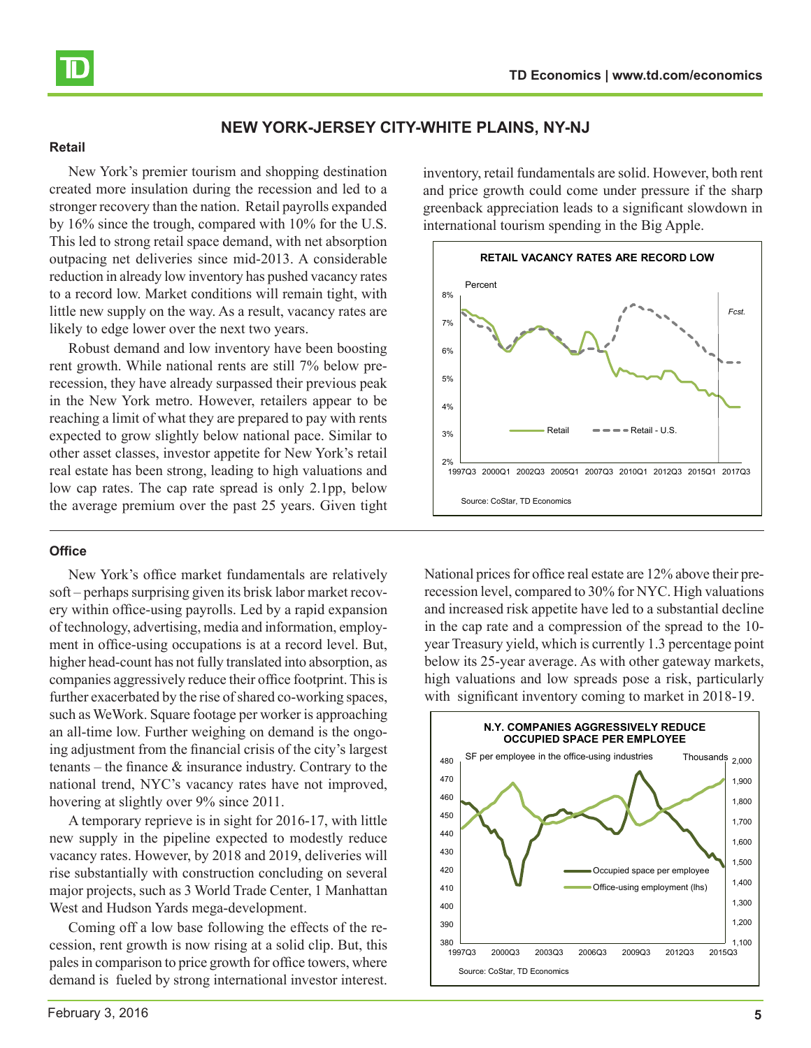<span id="page-4-0"></span>

# **NEW YORK-JERSEY CITY-WHITE PLAINS, NY-NJ**

#### **Retail**

New York's premier tourism and shopping destination created more insulation during the recession and led to a stronger recovery than the nation. Retail payrolls expanded by 16% since the trough, compared with 10% for the U.S. This led to strong retail space demand, with net absorption outpacing net deliveries since mid-2013. A considerable reduction in already low inventory has pushed vacancy rates to a record low. Market conditions will remain tight, with little new supply on the way. As a result, vacancy rates are likely to edge lower over the next two years.

Robust demand and low inventory have been boosting rent growth. While national rents are still 7% below prerecession, they have already surpassed their previous peak in the New York metro. However, retailers appear to be reaching a limit of what they are prepared to pay with rents expected to grow slightly below national pace. Similar to other asset classes, investor appetite for New York's retail real estate has been strong, leading to high valuations and low cap rates. The cap rate spread is only 2.1pp, below the average premium over the past 25 years. Given tight

# **Office**

New York's office market fundamentals are relatively soft – perhaps surprising given its brisk labor market recovery within office-using payrolls. Led by a rapid expansion of technology, advertising, media and information, employment in office-using occupations is at a record level. But, higher head-count has not fully translated into absorption, as companies aggressively reduce their office footprint. This is further exacerbated by the rise of shared co-working spaces, such as WeWork. Square footage per worker is approaching an all-time low. Further weighing on demand is the ongoing adjustment from the financial crisis of the city's largest tenants – the finance & insurance industry. Contrary to the national trend, NYC's vacancy rates have not improved, hovering at slightly over 9% since 2011.

A temporary reprieve is in sight for 2016-17, with little new supply in the pipeline expected to modestly reduce vacancy rates. However, by 2018 and 2019, deliveries will rise substantially with construction concluding on several major projects, such as 3 World Trade Center, 1 Manhattan West and Hudson Yards mega-development.

Coming off a low base following the effects of the recession, rent growth is now rising at a solid clip. But, this pales in comparison to price growth for office towers, where demand is fueled by strong international investor interest.

February 3, 2016 **5**

inventory, retail fundamentals are solid. However, both rent and price growth could come under pressure if the sharp greenback appreciation leads to a significant slowdown in international tourism spending in the Big Apple.



National prices for office real estate are 12% above their prerecession level, compared to 30% for NYC. High valuations and increased risk appetite have led to a substantial decline in the cap rate and a compression of the spread to the 10 year Treasury yield, which is currently 1.3 percentage point below its 25-year average. As with other gateway markets, high valuations and low spreads pose a risk, particularly with significant inventory coming to market in 2018-19.

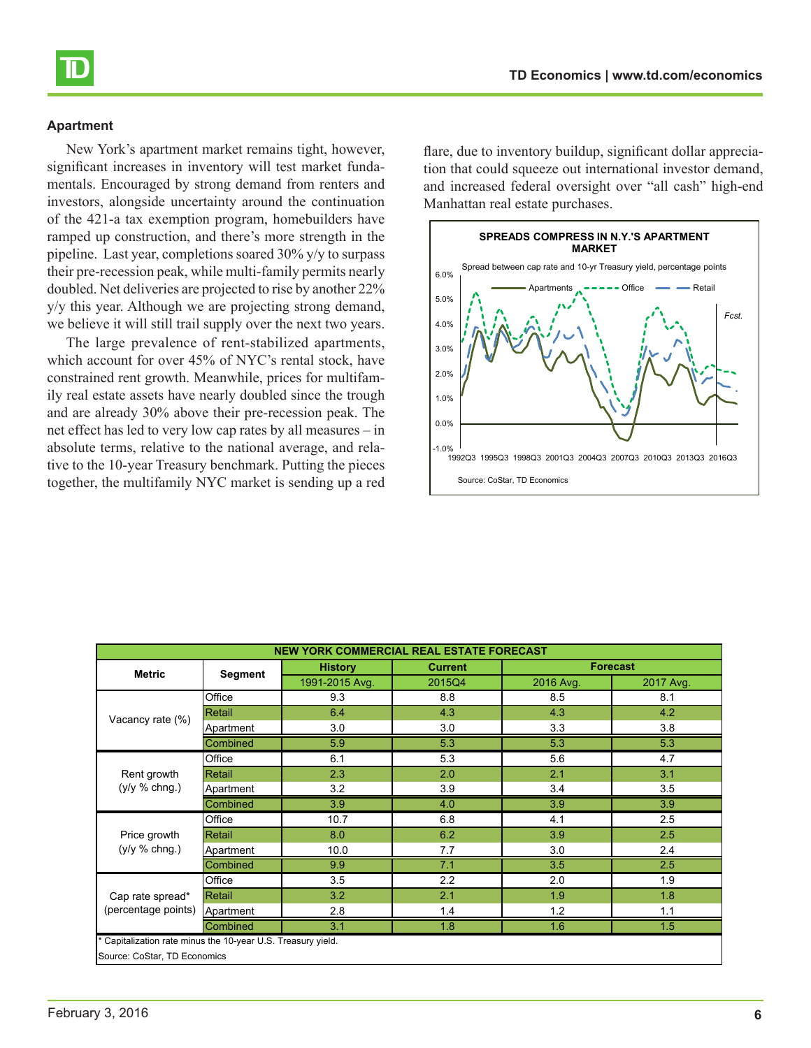

New York's apartment market remains tight, however, significant increases in inventory will test market fundamentals. Encouraged by strong demand from renters and investors, alongside uncertainty around the continuation of the 421-a tax exemption program, homebuilders have ramped up construction, and there's more strength in the pipeline. Last year, completions soared 30% y/y to surpass their pre-recession peak, while multi-family permits nearly doubled. Net deliveries are projected to rise by another 22% y/y this year. Although we are projecting strong demand, we believe it will still trail supply over the next two years.

The large prevalence of rent-stabilized apartments, which account for over 45% of NYC's rental stock, have constrained rent growth. Meanwhile, prices for multifamily real estate assets have nearly doubled since the trough and are already 30% above their pre-recession peak. The net effect has led to very low cap rates by all measures – in absolute terms, relative to the national average, and relative to the 10-year Treasury benchmark. Putting the pieces together, the multifamily NYC market is sending up a red flare, due to inventory buildup, significant dollar appreciation that could squeeze out international investor demand, and increased federal oversight over "all cash" high-end Manhattan real estate purchases.



| <b>NEW YORK COMMERCIAL REAL ESTATE FORECAST</b>            |                |                |                |           |                 |  |
|------------------------------------------------------------|----------------|----------------|----------------|-----------|-----------------|--|
| <b>Metric</b>                                              | <b>Segment</b> | <b>History</b> | <b>Current</b> |           | <b>Forecast</b> |  |
|                                                            |                | 1991-2015 Avg. | 2015Q4         | 2016 Avg. | 2017 Avg.       |  |
|                                                            | Office         | 9.3            | 8.8            | 8.5       | 8.1             |  |
| Vacancy rate (%)                                           | Retail         | 6.4            | 4.3            | 4.3       | 4.2             |  |
|                                                            | Apartment      | 3.0            | 3.0            | 3.3       | 3.8             |  |
|                                                            | Combined       | 5.9            | 5.3            | 5.3       | 5.3             |  |
|                                                            | Office         | 6.1            | 5.3            | 5.6       | 4.7             |  |
| Rent growth                                                | Retail         | 2.3            | 2.0            | 2.1       | 3.1             |  |
| $(y/y \% chng.)$                                           | Apartment      | 3.2            | 3.9            | 3.4       | 3.5             |  |
|                                                            | Combined       | 3.9            | 4.0            | 3.9       | 3.9             |  |
|                                                            | Office         | 10.7           | 6.8            | 4.1       | 2.5             |  |
| Price growth                                               | Retail         | 8.0            | 6.2            | 3.9       | 2.5             |  |
| $(y/y %$ chng.)                                            | Apartment      | 10.0           | 7.7            | 3.0       | 2.4             |  |
|                                                            | Combined       | 9.9            | 7.1            | 3.5       | 2.5             |  |
|                                                            | Office         | 3.5            | 2.2            | 2.0       | 1.9             |  |
| Cap rate spread*                                           | Retail         | 3.2            | 2.1            | 1.9       | 1.8             |  |
| (percentage points)                                        | Apartment      | 2.8            | 1.4            | 1.2       | 1.1             |  |
| 1.6<br>Combined<br>3.1<br>1.8<br>1.5                       |                |                |                |           |                 |  |
| Capitalization rate minus the 10-year U.S. Treasury yield. |                |                |                |           |                 |  |
| Source: CoStar, TD Economics                               |                |                |                |           |                 |  |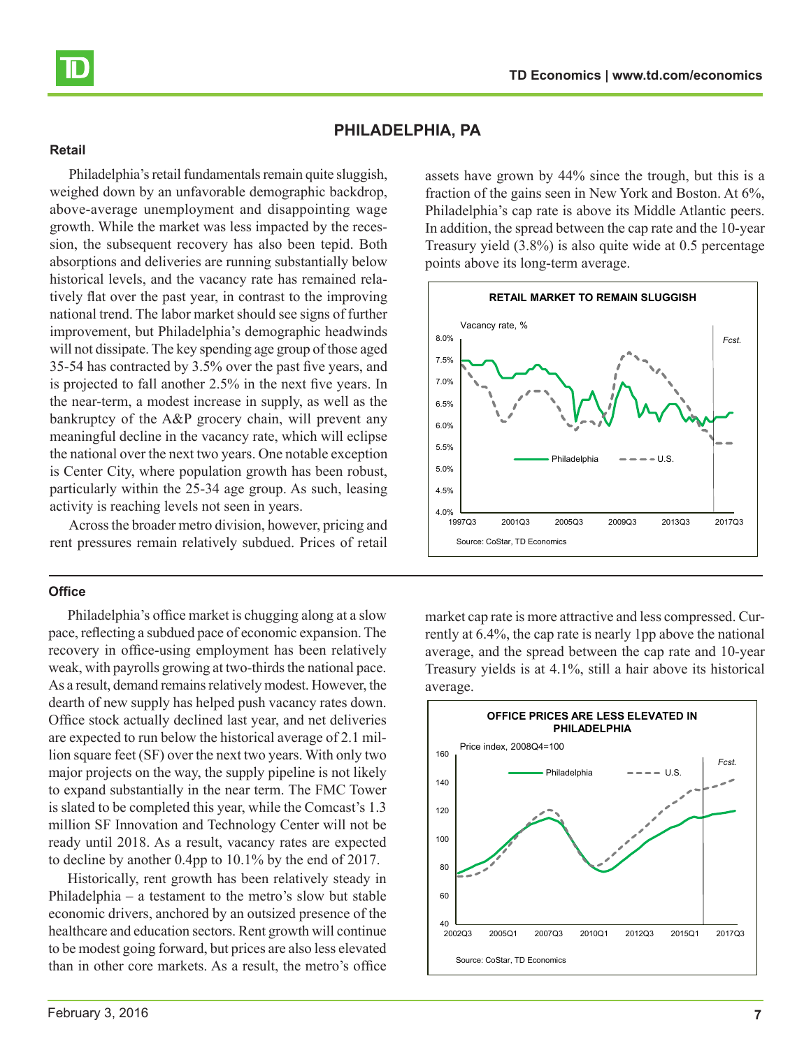<span id="page-6-0"></span>

# **PHILADELPHIA, PA**

#### **Retail**

Philadelphia's retail fundamentals remain quite sluggish, weighed down by an unfavorable demographic backdrop, above-average unemployment and disappointing wage growth. While the market was less impacted by the recession, the subsequent recovery has also been tepid. Both absorptions and deliveries are running substantially below historical levels, and the vacancy rate has remained relatively flat over the past year, in contrast to the improving national trend. The labor market should see signs of further improvement, but Philadelphia's demographic headwinds will not dissipate. The key spending age group of those aged 35-54 has contracted by 3.5% over the past five years, and is projected to fall another 2.5% in the next five years. In the near-term, a modest increase in supply, as well as the bankruptcy of the A&P grocery chain, will prevent any meaningful decline in the vacancy rate, which will eclipse the national over the next two years. One notable exception is Center City, where population growth has been robust, particularly within the 25-34 age group. As such, leasing activity is reaching levels not seen in years.

Across the broader metro division, however, pricing and rent pressures remain relatively subdued. Prices of retail

#### **Office**

Philadelphia's office market is chugging along at a slow pace, reflecting a subdued pace of economic expansion. The recovery in office-using employment has been relatively weak, with payrolls growing at two-thirds the national pace. As a result, demand remains relatively modest. However, the dearth of new supply has helped push vacancy rates down. Office stock actually declined last year, and net deliveries are expected to run below the historical average of 2.1 million square feet (SF) over the next two years. With only two major projects on the way, the supply pipeline is not likely to expand substantially in the near term. The FMC Tower is slated to be completed this year, while the Comcast's 1.3 million SF Innovation and Technology Center will not be ready until 2018. As a result, vacancy rates are expected to decline by another 0.4pp to 10.1% by the end of 2017.

Historically, rent growth has been relatively steady in Philadelphia – a testament to the metro's slow but stable economic drivers, anchored by an outsized presence of the healthcare and education sectors. Rent growth will continue to be modest going forward, but prices are also less elevated than in other core markets. As a result, the metro's office

assets have grown by 44% since the trough, but this is a fraction of the gains seen in New York and Boston. At 6%, Philadelphia's cap rate is above its Middle Atlantic peers. In addition, the spread between the cap rate and the 10-year Treasury yield (3.8%) is also quite wide at 0.5 percentage points above its long-term average.



market cap rate is more attractive and less compressed. Currently at 6.4%, the cap rate is nearly 1pp above the national average, and the spread between the cap rate and 10-year Treasury yields is at 4.1%, still a hair above its historical average.

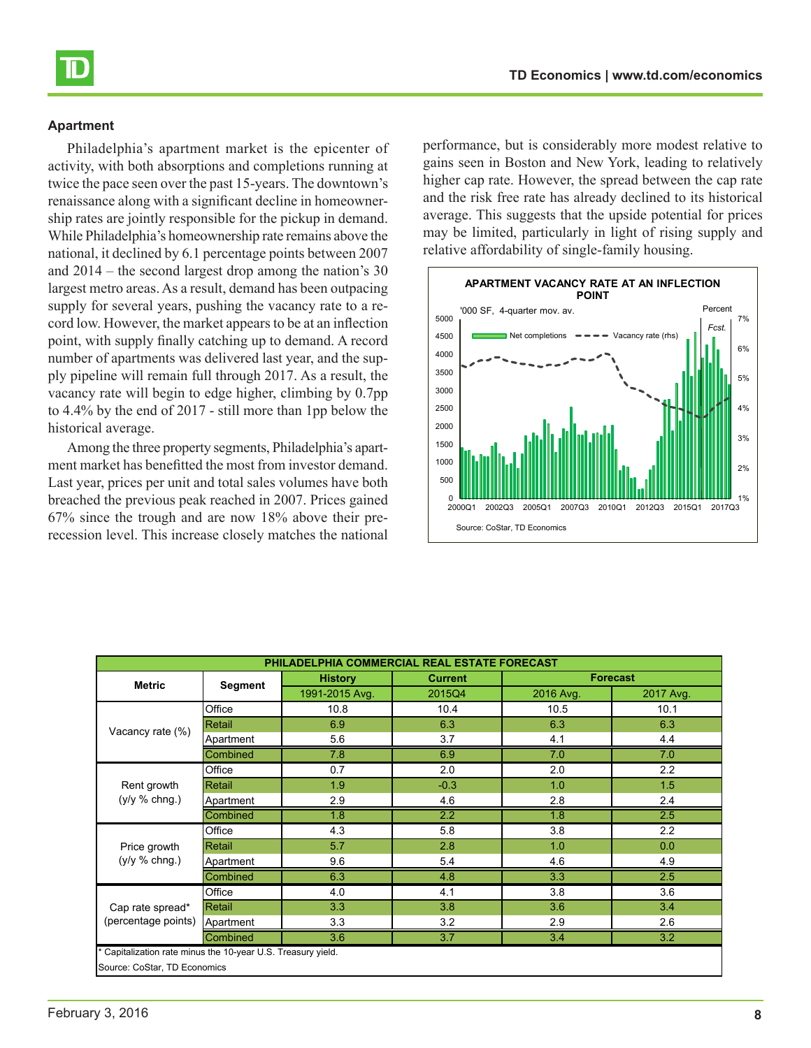Philadelphia's apartment market is the epicenter of activity, with both absorptions and completions running at twice the pace seen over the past 15-years. The downtown's renaissance along with a significant decline in homeownership rates are jointly responsible for the pickup in demand. While Philadelphia's homeownership rate remains above the national, it declined by 6.1 percentage points between 2007 and 2014 – the second largest drop among the nation's 30 largest metro areas. As a result, demand has been outpacing supply for several years, pushing the vacancy rate to a record low. However, the market appears to be at an inflection point, with supply finally catching up to demand. A record number of apartments was delivered last year, and the supply pipeline will remain full through 2017. As a result, the vacancy rate will begin to edge higher, climbing by 0.7pp to 4.4% by the end of 2017 - still more than 1pp below the historical average.

Among the three property segments, Philadelphia's apartment market has benefitted the most from investor demand. Last year, prices per unit and total sales volumes have both breached the previous peak reached in 2007. Prices gained 67% since the trough and are now 18% above their prerecession level. This increase closely matches the national

performance, but is considerably more modest relative to gains seen in Boston and New York, leading to relatively higher cap rate. However, the spread between the cap rate and the risk free rate has already declined to its historical average. This suggests that the upside potential for prices may be limited, particularly in light of rising supply and relative affordability of single-family housing.



| PHILADELPHIA COMMERCIAL REAL ESTATE FORECAST                                               |           |                |                |           |                 |  |
|--------------------------------------------------------------------------------------------|-----------|----------------|----------------|-----------|-----------------|--|
| <b>Metric</b>                                                                              | Segment   | <b>History</b> | <b>Current</b> |           | <b>Forecast</b> |  |
|                                                                                            |           | 1991-2015 Avg. | 2015Q4         | 2016 Avg. | 2017 Avg.       |  |
|                                                                                            | Office    | 10.8           | 10.4           | 10.5      | 10.1            |  |
| Vacancy rate (%)                                                                           | Retail    | 6.9            | 6.3            | 6.3       | 6.3             |  |
|                                                                                            | Apartment | 5.6            | 3.7            | 4.1       | 4.4             |  |
|                                                                                            | Combined  | 7.8            | 6.9            | 7.0       | 7.0             |  |
|                                                                                            | Office    | 0.7            | 2.0            | 2.0       | 2.2             |  |
| Rent growth                                                                                | Retail    | 1.9            | $-0.3$         | 1.0       | 1.5             |  |
| (y/y % chng.)                                                                              | Apartment | 2.9            | 4.6            | 2.8       | 2.4             |  |
|                                                                                            | Combined  | 1.8            | 2.2            | 1.8       | 2.5             |  |
|                                                                                            | Office    | 4.3            | 5.8            | 3.8       | 2.2             |  |
| Price growth                                                                               | Retail    | 5.7            | 2.8            | 1.0       | 0.0             |  |
| (y/y % chng.)                                                                              | Apartment | 9.6            | 5.4            | 4.6       | 4.9             |  |
|                                                                                            | Combined  | 6.3            | 4.8            | 3.3       | 2.5             |  |
|                                                                                            | Office    | 4.0            | 4.1            | 3.8       | 3.6             |  |
| Cap rate spread*<br>(percentage points)                                                    | Retail    | 3.3            | 3.8            | 3.6       | 3.4             |  |
|                                                                                            | Apartment | 3.3            | 3.2            | 2.9       | 2.6             |  |
| $\overline{3.7}$<br>3.6<br>$\overline{3.4}$<br>3.2<br>Combined                             |           |                |                |           |                 |  |
| Capitalization rate minus the 10-year U.S. Treasury yield.<br>Source: CoStar, TD Economics |           |                |                |           |                 |  |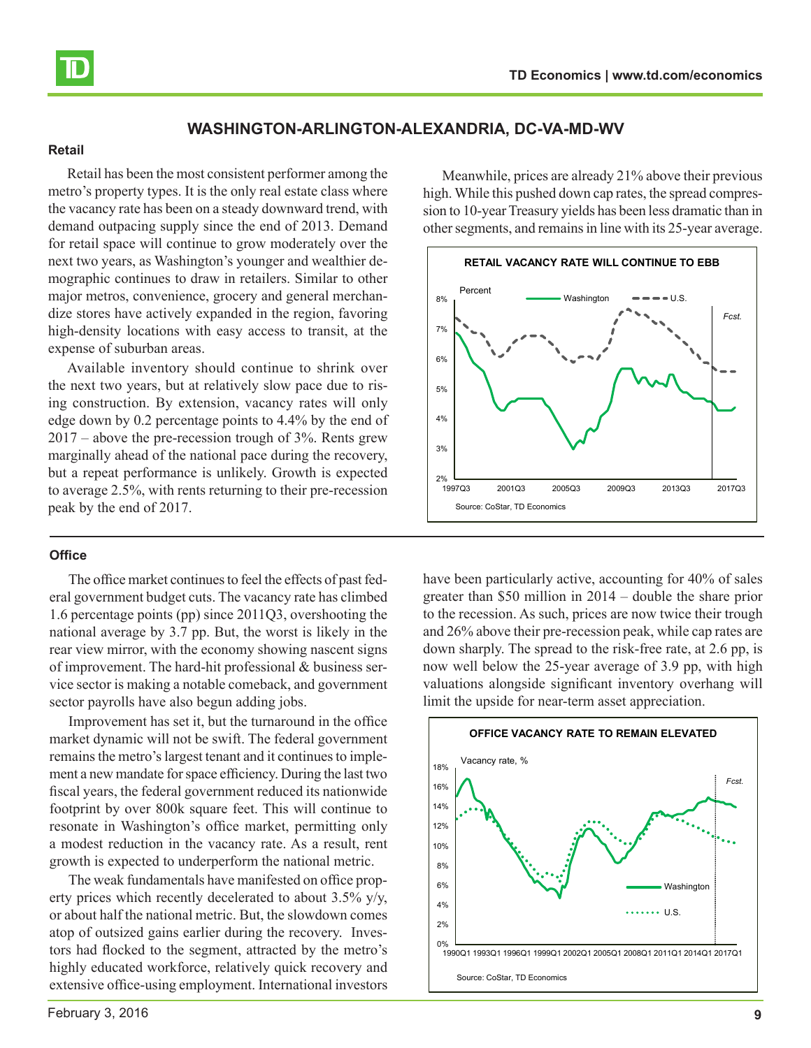

<span id="page-8-0"></span>

# **WASHINGTON-ARLINGTON-ALEXANDRIA, DC-VA-MD-WV**

#### **Retail**

Retail has been the most consistent performer among the metro's property types. It is the only real estate class where the vacancy rate has been on a steady downward trend, with demand outpacing supply since the end of 2013. Demand for retail space will continue to grow moderately over the next two years, as Washington's younger and wealthier demographic continues to draw in retailers. Similar to other major metros, convenience, grocery and general merchandize stores have actively expanded in the region, favoring high-density locations with easy access to transit, at the expense of suburban areas.

Available inventory should continue to shrink over the next two years, but at relatively slow pace due to rising construction. By extension, vacancy rates will only edge down by 0.2 percentage points to 4.4% by the end of 2017 – above the pre-recession trough of 3%. Rents grew marginally ahead of the national pace during the recovery, but a repeat performance is unlikely. Growth is expected to average 2.5%, with rents returning to their pre-recession peak by the end of 2017.

# **Office**

The office market continues to feel the effects of past federal government budget cuts. The vacancy rate has climbed 1.6 percentage points (pp) since 2011Q3, overshooting the national average by 3.7 pp. But, the worst is likely in the rear view mirror, with the economy showing nascent signs of improvement. The hard-hit professional & business service sector is making a notable comeback, and government sector payrolls have also begun adding jobs.

Improvement has set it, but the turnaround in the office market dynamic will not be swift. The federal government remains the metro's largest tenant and it continues to implement a new mandate for space efficiency. During the last two fiscal years, the federal government reduced its nationwide footprint by over 800k square feet. This will continue to resonate in Washington's office market, permitting only a modest reduction in the vacancy rate. As a result, rent growth is expected to underperform the national metric.

The weak fundamentals have manifested on office property prices which recently decelerated to about 3.5% y/y, or about half the national metric. But, the slowdown comes atop of outsized gains earlier during the recovery. Investors had flocked to the segment, attracted by the metro's highly educated workforce, relatively quick recovery and extensive office-using employment. International investors

Meanwhile, prices are already 21% above their previous high. While this pushed down cap rates, the spread compression to 10-year Treasury yields has been less dramatic than in other segments, and remains in line with its 25-year average.



have been particularly active, accounting for 40% of sales greater than \$50 million in 2014 – double the share prior to the recession. As such, prices are now twice their trough and 26% above their pre-recession peak, while cap rates are down sharply. The spread to the risk-free rate, at 2.6 pp, is now well below the 25-year average of 3.9 pp, with high valuations alongside significant inventory overhang will limit the upside for near-term asset appreciation.

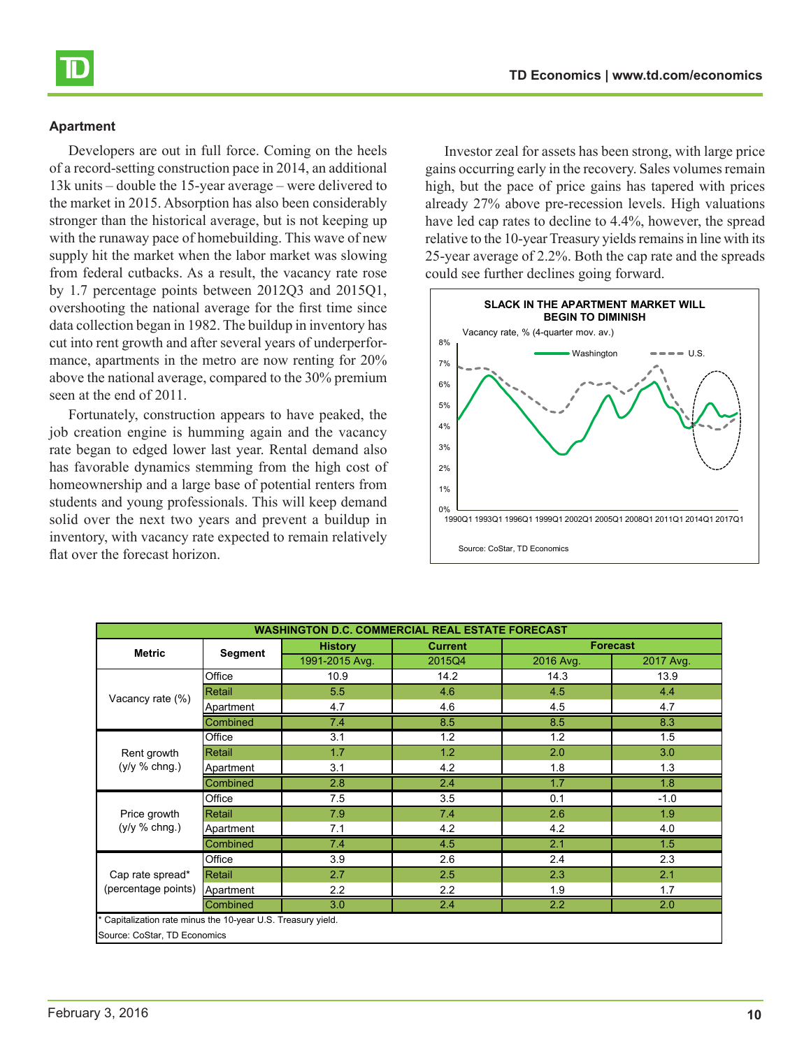Developers are out in full force. Coming on the heels of a record-setting construction pace in 2014, an additional 13k units – double the 15-year average – were delivered to the market in 2015. Absorption has also been considerably stronger than the historical average, but is not keeping up with the runaway pace of homebuilding. This wave of new supply hit the market when the labor market was slowing from federal cutbacks. As a result, the vacancy rate rose by 1.7 percentage points between 2012Q3 and 2015Q1, overshooting the national average for the first time since data collection began in 1982. The buildup in inventory has cut into rent growth and after several years of underperformance, apartments in the metro are now renting for 20% above the national average, compared to the 30% premium seen at the end of 2011.

Fortunately, construction appears to have peaked, the job creation engine is humming again and the vacancy rate began to edged lower last year. Rental demand also has favorable dynamics stemming from the high cost of homeownership and a large base of potential renters from students and young professionals. This will keep demand solid over the next two years and prevent a buildup in inventory, with vacancy rate expected to remain relatively flat over the forecast horizon.

Investor zeal for assets has been strong, with large price gains occurring early in the recovery. Sales volumes remain high, but the pace of price gains has tapered with prices already 27% above pre-recession levels. High valuations have led cap rates to decline to 4.4%, however, the spread relative to the 10-year Treasury yields remains in line with its 25-year average of 2.2%. Both the cap rate and the spreads could see further declines going forward.



|                                                            | <b>Segment</b>  | <b>History</b> | <b>Current</b> |           | <b>Forecast</b> |
|------------------------------------------------------------|-----------------|----------------|----------------|-----------|-----------------|
| <b>Metric</b>                                              |                 | 1991-2015 Avg. | 2015Q4         | 2016 Avg. | 2017 Avg.       |
|                                                            | Office          | 10.9           | 14.2           | 14.3      | 13.9            |
| Vacancy rate (%)                                           | Retail          | 5.5            | 4.6            | 4.5       | 4.4             |
|                                                            | Apartment       | 4.7            | 4.6            | 4.5       | 4.7             |
|                                                            | Combined        | 7.4            | 8.5            | 8.5       | 8.3             |
|                                                            | Office          | 3.1            | 1.2            | 1.2       | 1.5             |
| Rent growth                                                | Retail          | 1.7            | 1.2            | 2.0       | 3.0             |
| $(y/y \% chng.)$                                           | Apartment       | 3.1            | 4.2            | 1.8       | 1.3             |
|                                                            | Combined        | 2.8            | 2.4            | 1.7       | 1.8             |
|                                                            | Office          | 7.5            | 3.5            | 0.1       | $-1.0$          |
| Price growth                                               | Retail          | 7.9            | 7.4            | 2.6       | 1.9             |
| $(y/y %$ chng.)                                            | Apartment       | 7.1            | 4.2            | 4.2       | 4.0             |
|                                                            | Combined        | 7.4            | 4.5            | 2.1       | 1.5             |
|                                                            | Office          | 3.9            | 2.6            | 2.4       | 2.3             |
| Cap rate spread*                                           | Retail          | 2.7            | 2.5            | 2.3       | 2.1             |
| (percentage points)                                        | Apartment       | 2.2            | 2.2            | 1.9       | 1.7             |
|                                                            | <b>Combined</b> | 3.0            | 2.4            | 2.2       | 2.0             |
| Capitalization rate minus the 10-year U.S. Treasury yield. |                 |                |                |           |                 |
| Source: CoStar, TD Economics                               |                 |                |                |           |                 |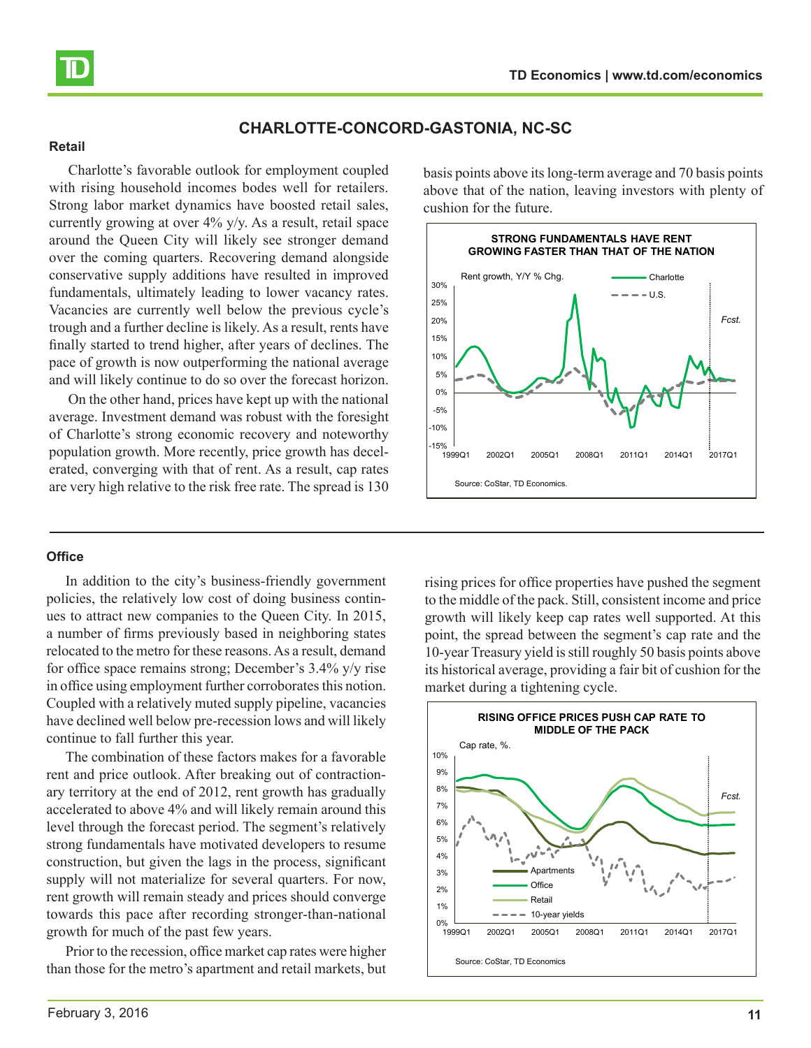<span id="page-10-0"></span>

# **CHARLOTTE-CONCORD-GASTONIA, NC-SC**

#### **Retail**

Charlotte's favorable outlook for employment coupled with rising household incomes bodes well for retailers. Strong labor market dynamics have boosted retail sales, currently growing at over 4% y/y. As a result, retail space around the Queen City will likely see stronger demand over the coming quarters. Recovering demand alongside conservative supply additions have resulted in improved fundamentals, ultimately leading to lower vacancy rates. Vacancies are currently well below the previous cycle's trough and a further decline is likely. As a result, rents have finally started to trend higher, after years of declines. The pace of growth is now outperforming the national average and will likely continue to do so over the forecast horizon.

On the other hand, prices have kept up with the national average. Investment demand was robust with the foresight of Charlotte's strong economic recovery and noteworthy population growth. More recently, price growth has decelerated, converging with that of rent. As a result, cap rates are very high relative to the risk free rate. The spread is 130

#### **Office**

In addition to the city's business-friendly government policies, the relatively low cost of doing business continues to attract new companies to the Queen City. In 2015, a number of firms previously based in neighboring states relocated to the metro for these reasons. As a result, demand for office space remains strong; December's 3.4% y/y rise in office using employment further corroborates this notion. Coupled with a relatively muted supply pipeline, vacancies have declined well below pre-recession lows and will likely continue to fall further this year.

The combination of these factors makes for a favorable rent and price outlook. After breaking out of contractionary territory at the end of 2012, rent growth has gradually accelerated to above 4% and will likely remain around this level through the forecast period. The segment's relatively strong fundamentals have motivated developers to resume construction, but given the lags in the process, significant supply will not materialize for several quarters. For now, rent growth will remain steady and prices should converge towards this pace after recording stronger-than-national growth for much of the past few years.

Prior to the recession, office market cap rates were higher than those for the metro's apartment and retail markets, but

basis points above its long-term average and 70 basis points above that of the nation, leaving investors with plenty of cushion for the future.



rising prices for office properties have pushed the segment to the middle of the pack. Still, consistent income and price growth will likely keep cap rates well supported. At this point, the spread between the segment's cap rate and the 10-year Treasury yield is still roughly 50 basis points above its historical average, providing a fair bit of cushion for the market during a tightening cycle.

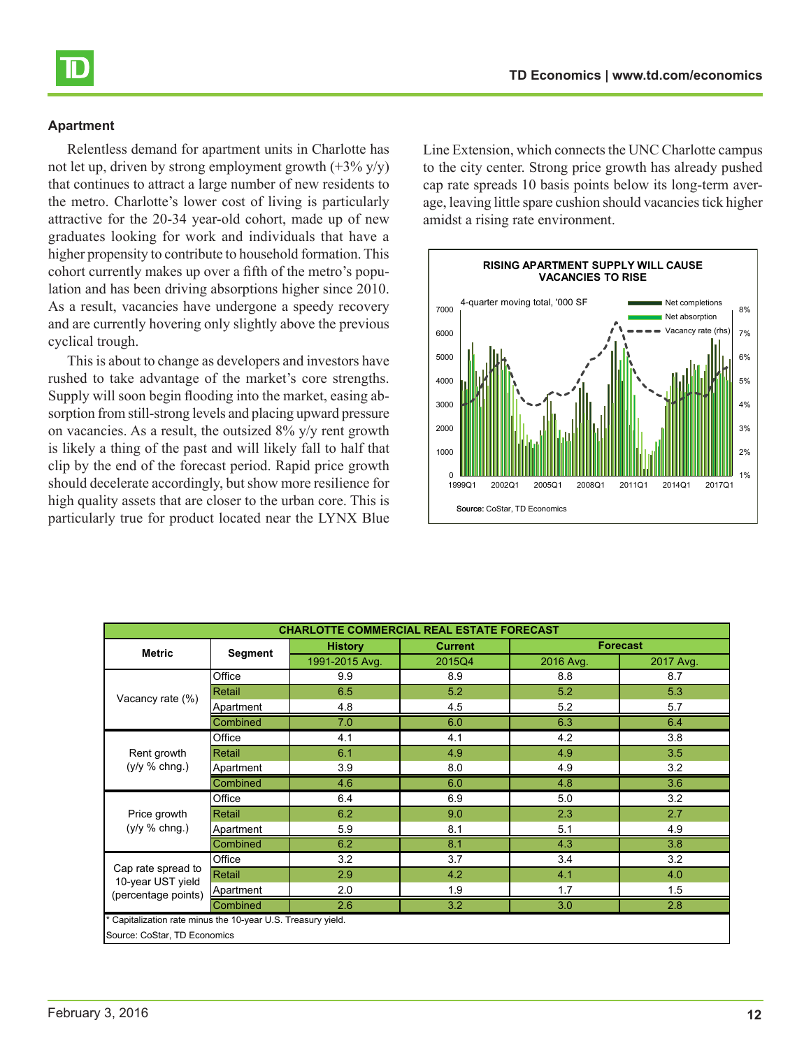Relentless demand for apartment units in Charlotte has not let up, driven by strong employment growth  $(+3\% \text{ y/y})$ that continues to attract a large number of new residents to the metro. Charlotte's lower cost of living is particularly attractive for the 20-34 year-old cohort, made up of new graduates looking for work and individuals that have a higher propensity to contribute to household formation. This cohort currently makes up over a fifth of the metro's population and has been driving absorptions higher since 2010. As a result, vacancies have undergone a speedy recovery and are currently hovering only slightly above the previous cyclical trough.

This is about to change as developers and investors have rushed to take advantage of the market's core strengths. Supply will soon begin flooding into the market, easing absorption from still-strong levels and placing upward pressure on vacancies. As a result, the outsized 8% y/y rent growth is likely a thing of the past and will likely fall to half that clip by the end of the forecast period. Rapid price growth should decelerate accordingly, but show more resilience for high quality assets that are closer to the urban core. This is particularly true for product located near the LYNX Blue Line Extension, which connects the UNC Charlotte campus to the city center. Strong price growth has already pushed cap rate spreads 10 basis points below its long-term average, leaving little spare cushion should vacancies tick higher amidst a rising rate environment.



| <b>CHARLOTTE COMMERCIAL REAL ESTATE FORECAST</b>           |                |                |                |           |                 |  |
|------------------------------------------------------------|----------------|----------------|----------------|-----------|-----------------|--|
| <b>Metric</b>                                              | <b>Segment</b> | <b>History</b> | <b>Current</b> |           | <b>Forecast</b> |  |
|                                                            |                | 1991-2015 Avg. | 2015Q4         | 2016 Avg. | 2017 Avg.       |  |
|                                                            | Office         | 9.9            | 8.9            | 8.8       | 8.7             |  |
| Vacancy rate (%)                                           | Retail         | 6.5            | 5.2            | 5.2       | 5.3             |  |
|                                                            | Apartment      | 4.8            | 4.5            | 5.2       | 5.7             |  |
|                                                            | Combined       | 7.0            | 6.0            | 6.3       | 6.4             |  |
|                                                            | Office         | 4.1            | 4.1            | 4.2       | 3.8             |  |
| Rent growth                                                | Retail         | 6.1            | 4.9            | 4.9       | 3.5             |  |
| $(y/y %$ chng.)                                            | Apartment      | 3.9            | 8.0            | 4.9       | 3.2             |  |
|                                                            | Combined       | 4.6            | 6.0            | 4.8       | 3.6             |  |
|                                                            | Office         | 6.4            | 6.9            | 5.0       | 3.2             |  |
| Price growth                                               | Retail         | 6.2            | 9.0            | 2.3       | 2.7             |  |
| $(y/y %$ chng.)                                            | Apartment      | 5.9            | 8.1            | 5.1       | 4.9             |  |
|                                                            | Combined       | 6.2            | 8.1            | 4.3       | 3.8             |  |
|                                                            | Office         | 3.2            | 3.7            | 3.4       | 3.2             |  |
| Cap rate spread to<br>10-year UST yield                    | Retail         | 2.9            | 4.2            | 4.1       | 4.0             |  |
| (percentage points)                                        | Apartment      | 2.0            | 1.9            | 1.7       | 1.5             |  |
|                                                            | Combined       | 2.6            | 3.2            | 3.0       | 2.8             |  |
| Capitalization rate minus the 10-year U.S. Treasury yield. |                |                |                |           |                 |  |
| Source: CoStar, TD Economics                               |                |                |                |           |                 |  |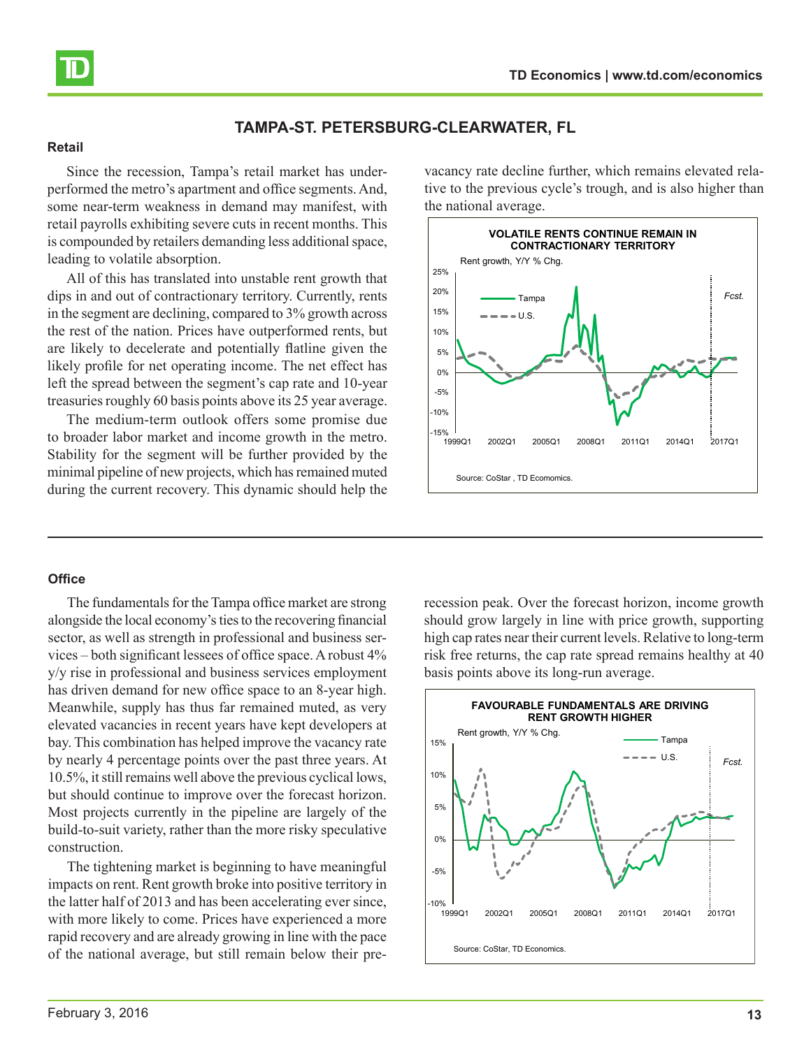<span id="page-12-0"></span>

# **TAMPA-ST. PETERSBURG-CLEARWATER, FL**

#### **Retail**

Since the recession, Tampa's retail market has underperformed the metro's apartment and office segments. And, some near-term weakness in demand may manifest, with retail payrolls exhibiting severe cuts in recent months. This is compounded by retailers demanding less additional space, leading to volatile absorption.

All of this has translated into unstable rent growth that dips in and out of contractionary territory. Currently, rents in the segment are declining, compared to 3% growth across the rest of the nation. Prices have outperformed rents, but are likely to decelerate and potentially flatline given the likely profile for net operating income. The net effect has left the spread between the segment's cap rate and 10-year treasuries roughly 60 basis points above its 25 year average.

The medium-term outlook offers some promise due to broader labor market and income growth in the metro. Stability for the segment will be further provided by the minimal pipeline of new projects, which has remained muted during the current recovery. This dynamic should help the vacancy rate decline further, which remains elevated relative to the previous cycle's trough, and is also higher than the national average.



#### **Office**

The fundamentals for the Tampa office market are strong alongside the local economy's ties to the recovering financial sector, as well as strength in professional and business services – both significant lessees of office space. A robust 4% y/y rise in professional and business services employment has driven demand for new office space to an 8-year high. Meanwhile, supply has thus far remained muted, as very elevated vacancies in recent years have kept developers at bay. This combination has helped improve the vacancy rate by nearly 4 percentage points over the past three years. At 10.5%, it still remains well above the previous cyclical lows, but should continue to improve over the forecast horizon. Most projects currently in the pipeline are largely of the build-to-suit variety, rather than the more risky speculative construction.

The tightening market is beginning to have meaningful impacts on rent. Rent growth broke into positive territory in the latter half of 2013 and has been accelerating ever since, with more likely to come. Prices have experienced a more rapid recovery and are already growing in line with the pace of the national average, but still remain below their prerecession peak. Over the forecast horizon, income growth should grow largely in line with price growth, supporting high cap rates near their current levels. Relative to long-term risk free returns, the cap rate spread remains healthy at 40 basis points above its long-run average.

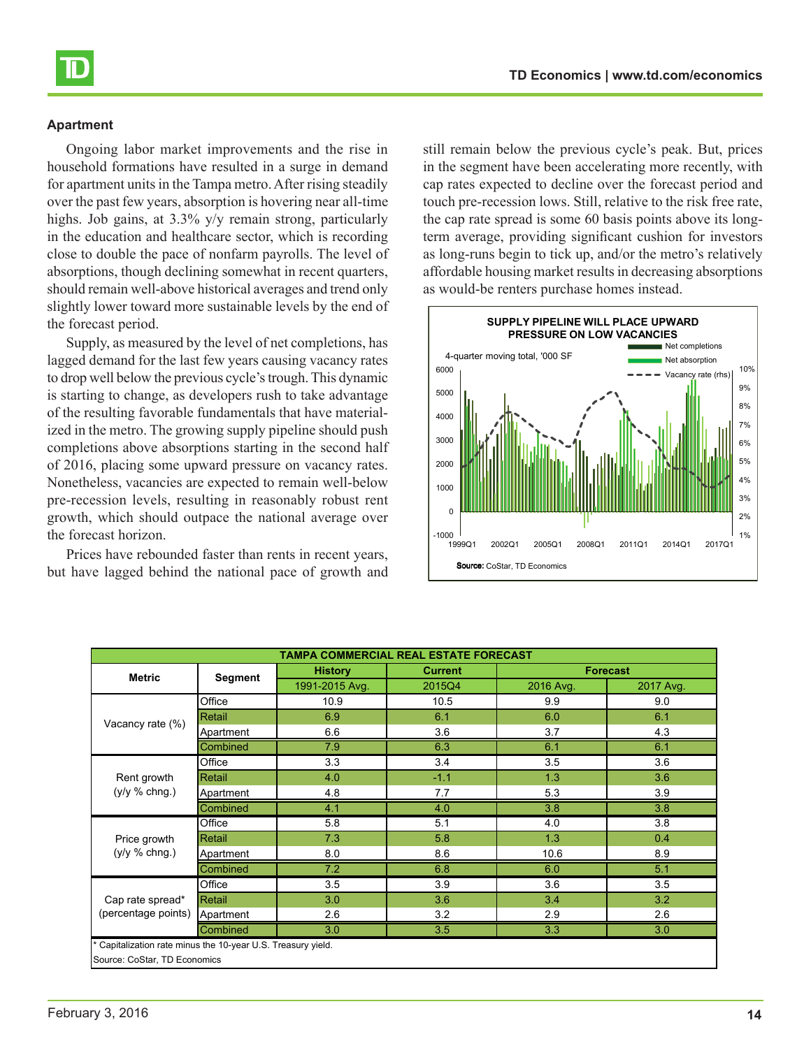Ongoing labor market improvements and the rise in household formations have resulted in a surge in demand for apartment units in the Tampa metro. After rising steadily over the past few years, absorption is hovering near all-time highs. Job gains, at 3.3% y/y remain strong, particularly in the education and healthcare sector, which is recording close to double the pace of nonfarm payrolls. The level of absorptions, though declining somewhat in recent quarters, should remain well-above historical averages and trend only slightly lower toward more sustainable levels by the end of the forecast period.

Supply, as measured by the level of net completions, has lagged demand for the last few years causing vacancy rates to drop well below the previous cycle's trough. This dynamic is starting to change, as developers rush to take advantage of the resulting favorable fundamentals that have materialized in the metro. The growing supply pipeline should push completions above absorptions starting in the second half of 2016, placing some upward pressure on vacancy rates. Nonetheless, vacancies are expected to remain well-below pre-recession levels, resulting in reasonably robust rent growth, which should outpace the national average over the forecast horizon.

Prices have rebounded faster than rents in recent years, but have lagged behind the national pace of growth and still remain below the previous cycle's peak. But, prices in the segment have been accelerating more recently, with cap rates expected to decline over the forecast period and touch pre-recession lows. Still, relative to the risk free rate, the cap rate spread is some 60 basis points above its longterm average, providing significant cushion for investors as long-runs begin to tick up, and/or the metro's relatively affordable housing market results in decreasing absorptions as would-be renters purchase homes instead.



| TAMPA COMMERCIAL REAL ESTATE FORECAST                      |                |                |                |                  |                 |  |
|------------------------------------------------------------|----------------|----------------|----------------|------------------|-----------------|--|
| <b>Metric</b>                                              | <b>Segment</b> | <b>History</b> | <b>Current</b> |                  | <b>Forecast</b> |  |
|                                                            |                | 1991-2015 Avg. | 2015Q4         | 2016 Avg.        | 2017 Avg.       |  |
|                                                            | Office         | 10.9           | 10.5           | 9.9              | 9.0             |  |
| Vacancy rate (%)                                           | Retail         | 6.9            | 6.1            | 6.0              | 6.1             |  |
|                                                            | Apartment      | 6.6            | 3.6            | 3.7              | 4.3             |  |
|                                                            | Combined       | 7.9            | 6.3            | 6.1              | 6.1             |  |
|                                                            | Office         | 3.3            | 3.4            | 3.5              | 3.6             |  |
| Rent growth                                                | Retail         | 4.0            | $-1.1$         | 1.3              | 3.6             |  |
| $(y/y \% chng.)$                                           | Apartment      | 4.8            | 7.7            | 5.3              | 3.9             |  |
|                                                            | Combined       | 4.1            | 4.0            | $\overline{3.8}$ | 3.8             |  |
|                                                            | Office         | 5.8            | 5.1            | 4.0              | 3.8             |  |
| Price growth                                               | Retail         | 7.3            | 5.8            | 1.3              | 0.4             |  |
| $(y/y \% chng.)$                                           | Apartment      | 8.0            | 8.6            | 10.6             | 8.9             |  |
|                                                            | Combined       | 7.2            | 6.8            | 6.0              | 5.1             |  |
|                                                            | Office         | 3.5            | 3.9            | 3.6              | 3.5             |  |
| Cap rate spread*<br>(percentage points)                    | Retail         | 3.0            | 3.6            | 3.4              | 3.2             |  |
|                                                            | Apartment      | 2.6            | 3.2            | 2.9              | 2.6             |  |
|                                                            | 3.3            | 3.0            |                |                  |                 |  |
| Capitalization rate minus the 10-year U.S. Treasury yield. |                |                |                |                  |                 |  |
| Source: CoStar, TD Economics                               |                |                |                |                  |                 |  |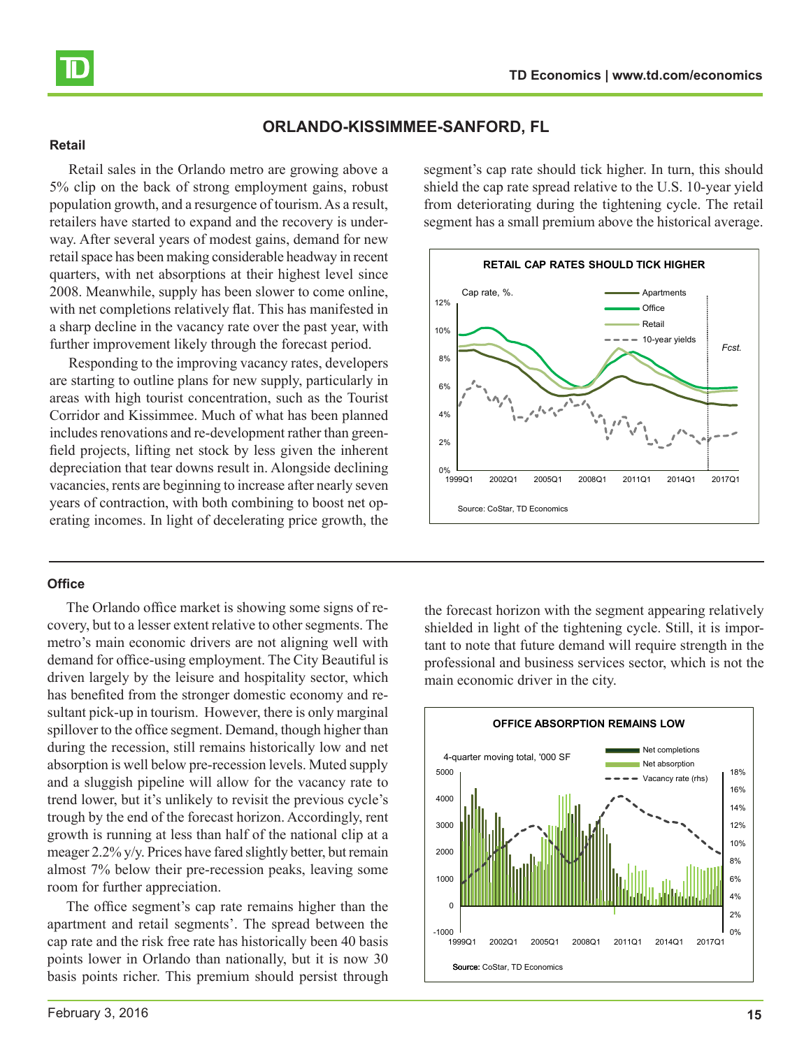<span id="page-14-0"></span>

# **ORLANDO-KISSIMMEE-SANFORD, FL**

#### **Retail**

Retail sales in the Orlando metro are growing above a 5% clip on the back of strong employment gains, robust population growth, and a resurgence of tourism. As a result, retailers have started to expand and the recovery is underway. After several years of modest gains, demand for new retail space has been making considerable headway in recent quarters, with net absorptions at their highest level since 2008. Meanwhile, supply has been slower to come online, with net completions relatively flat. This has manifested in a sharp decline in the vacancy rate over the past year, with further improvement likely through the forecast period.

Responding to the improving vacancy rates, developers are starting to outline plans for new supply, particularly in areas with high tourist concentration, such as the Tourist Corridor and Kissimmee. Much of what has been planned includes renovations and re-development rather than greenfield projects, lifting net stock by less given the inherent depreciation that tear downs result in. Alongside declining vacancies, rents are beginning to increase after nearly seven years of contraction, with both combining to boost net operating incomes. In light of decelerating price growth, the

#### **Office**

The Orlando office market is showing some signs of recovery, but to a lesser extent relative to other segments. The metro's main economic drivers are not aligning well with demand for office-using employment. The City Beautiful is driven largely by the leisure and hospitality sector, which has benefited from the stronger domestic economy and resultant pick-up in tourism. However, there is only marginal spillover to the office segment. Demand, though higher than during the recession, still remains historically low and net absorption is well below pre-recession levels. Muted supply and a sluggish pipeline will allow for the vacancy rate to trend lower, but it's unlikely to revisit the previous cycle's trough by the end of the forecast horizon. Accordingly, rent growth is running at less than half of the national clip at a meager 2.2% y/y. Prices have fared slightly better, but remain almost 7% below their pre-recession peaks, leaving some room for further appreciation.

The office segment's cap rate remains higher than the apartment and retail segments'. The spread between the cap rate and the risk free rate has historically been 40 basis points lower in Orlando than nationally, but it is now 30 basis points richer. This premium should persist through segment's cap rate should tick higher. In turn, this should shield the cap rate spread relative to the U.S. 10-year yield from deteriorating during the tightening cycle. The retail segment has a small premium above the historical average.



the forecast horizon with the segment appearing relatively shielded in light of the tightening cycle. Still, it is important to note that future demand will require strength in the professional and business services sector, which is not the main economic driver in the city.

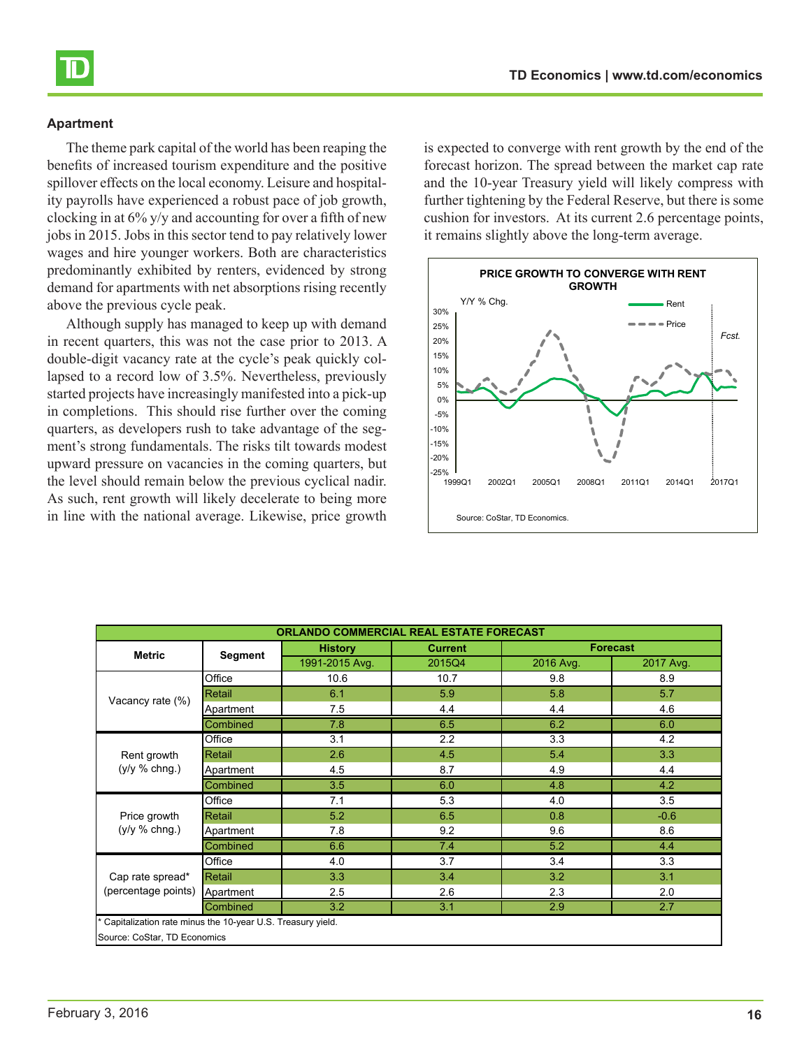The theme park capital of the world has been reaping the benefits of increased tourism expenditure and the positive spillover effects on the local economy. Leisure and hospitality payrolls have experienced a robust pace of job growth, clocking in at 6% y/y and accounting for over a fifth of new jobs in 2015. Jobs in this sector tend to pay relatively lower wages and hire younger workers. Both are characteristics predominantly exhibited by renters, evidenced by strong demand for apartments with net absorptions rising recently above the previous cycle peak.

Although supply has managed to keep up with demand in recent quarters, this was not the case prior to 2013. A double-digit vacancy rate at the cycle's peak quickly collapsed to a record low of 3.5%. Nevertheless, previously started projects have increasingly manifested into a pick-up in completions. This should rise further over the coming quarters, as developers rush to take advantage of the segment's strong fundamentals. The risks tilt towards modest upward pressure on vacancies in the coming quarters, but the level should remain below the previous cyclical nadir. As such, rent growth will likely decelerate to being more in line with the national average. Likewise, price growth

is expected to converge with rent growth by the end of the forecast horizon. The spread between the market cap rate and the 10-year Treasury yield will likely compress with further tightening by the Federal Reserve, but there is some cushion for investors. At its current 2.6 percentage points, it remains slightly above the long-term average.



| <b>ORLANDO COMMERCIAL REAL ESTATE FORECAST</b>                                             |           |                |                |           |                 |
|--------------------------------------------------------------------------------------------|-----------|----------------|----------------|-----------|-----------------|
|                                                                                            | Segment   | <b>History</b> | <b>Current</b> |           | <b>Forecast</b> |
| <b>Metric</b>                                                                              |           | 1991-2015 Avg. | 2015Q4         | 2016 Avg. | 2017 Avg.       |
|                                                                                            | Office    | 10.6           | 10.7           | 9.8       | 8.9             |
| Vacancy rate (%)                                                                           | Retail    | 6.1            | 5.9            | 5.8       | 5.7             |
|                                                                                            | Apartment | 7.5            | 4.4            | 4.4       | 4.6             |
|                                                                                            | Combined  | 7.8            | 6.5            | 6.2       | 6.0             |
|                                                                                            | Office    | 3.1            | 2.2            | 3.3       | 4.2             |
| Rent growth                                                                                | Retail    | 2.6            | 4.5            | 5.4       | 3.3             |
| $(y/y %$ chng.)                                                                            | Apartment | 4.5            | 8.7            | 4.9       | 4.4             |
|                                                                                            | Combined  | 3.5            | 6.0            | 4.8       | 4.2             |
|                                                                                            | Office    | 7.1            | 5.3            | 4.0       | 3.5             |
| Price growth                                                                               | Retail    | 5.2            | 6.5            | 0.8       | $-0.6$          |
| $(y/y \% chng.)$                                                                           | Apartment | 7.8            | 9.2            | 9.6       | 8.6             |
|                                                                                            | Combined  | 6.6            | 7.4            | 5.2       | 4.4             |
|                                                                                            | Office    | 4.0            | 3.7            | 3.4       | 3.3             |
| Cap rate spread*<br>(percentage points)                                                    | Retail    | 3.3            | 3.4            | 3.2       | 3.1             |
|                                                                                            | Apartment | 2.5            | 2.6            | 2.3       | 2.0             |
|                                                                                            | Combined  | 3.2            | 3.1            | 2.9       | 2.7             |
| Capitalization rate minus the 10-year U.S. Treasury yield.<br>Source: CoStar, TD Economics |           |                |                |           |                 |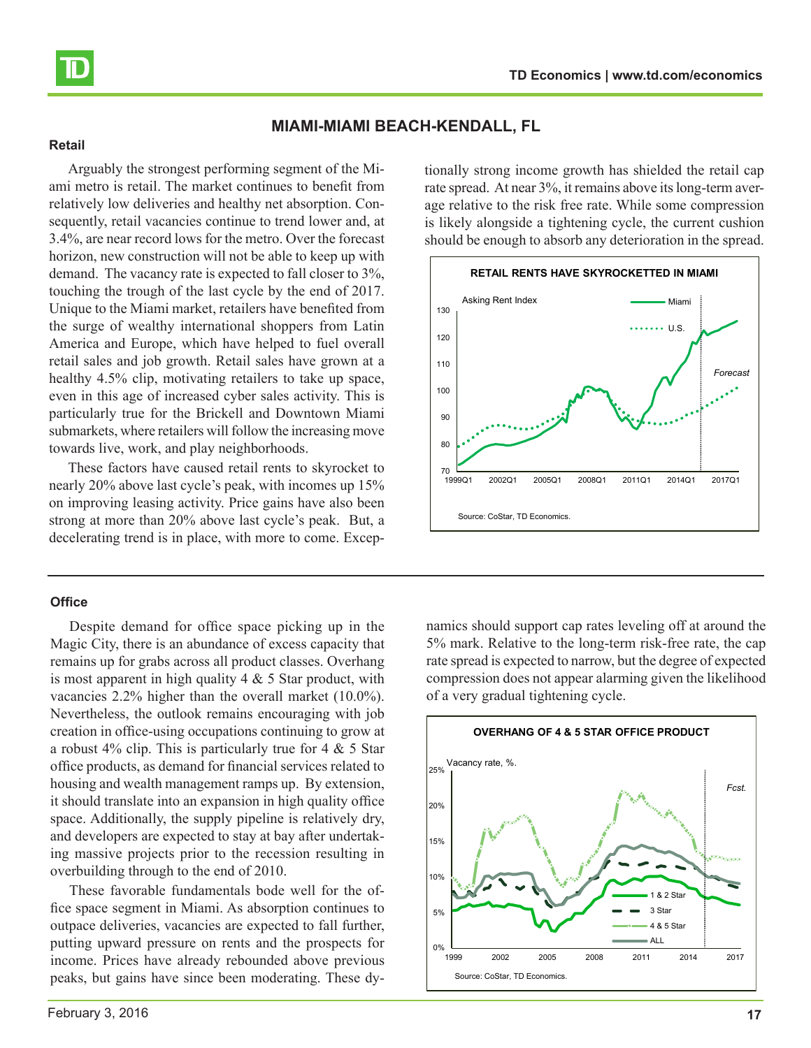<span id="page-16-0"></span>

# **MIAMI-MIAMI BEACH-KENDALL, FL**

#### **Retail**

Arguably the strongest performing segment of the Miami metro is retail. The market continues to benefit from relatively low deliveries and healthy net absorption. Consequently, retail vacancies continue to trend lower and, at 3.4%, are near record lows for the metro. Over the forecast horizon, new construction will not be able to keep up with demand. The vacancy rate is expected to fall closer to 3%, touching the trough of the last cycle by the end of 2017. Unique to the Miami market, retailers have benefited from the surge of wealthy international shoppers from Latin America and Europe, which have helped to fuel overall retail sales and job growth. Retail sales have grown at a healthy 4.5% clip, motivating retailers to take up space, even in this age of increased cyber sales activity. This is particularly true for the Brickell and Downtown Miami submarkets, where retailers will follow the increasing move towards live, work, and play neighborhoods.

These factors have caused retail rents to skyrocket to nearly 20% above last cycle's peak, with incomes up 15% on improving leasing activity. Price gains have also been strong at more than 20% above last cycle's peak. But, a decelerating trend is in place, with more to come. Excep-

#### **Office**

Despite demand for office space picking up in the Magic City, there is an abundance of excess capacity that remains up for grabs across all product classes. Overhang is most apparent in high quality  $4 \& 5$  Star product, with vacancies 2.2% higher than the overall market (10.0%). Nevertheless, the outlook remains encouraging with job creation in office-using occupations continuing to grow at a robust  $4\%$  clip. This is particularly true for  $4 \& 5$  Star office products, as demand for financial services related to housing and wealth management ramps up. By extension, it should translate into an expansion in high quality office space. Additionally, the supply pipeline is relatively dry, and developers are expected to stay at bay after undertaking massive projects prior to the recession resulting in overbuilding through to the end of 2010.

These favorable fundamentals bode well for the office space segment in Miami. As absorption continues to outpace deliveries, vacancies are expected to fall further, putting upward pressure on rents and the prospects for income. Prices have already rebounded above previous peaks, but gains have since been moderating. These dytionally strong income growth has shielded the retail cap rate spread. At near 3%, it remains above its long-term average relative to the risk free rate. While some compression is likely alongside a tightening cycle, the current cushion should be enough to absorb any deterioration in the spread.



namics should support cap rates leveling off at around the 5% mark. Relative to the long-term risk-free rate, the cap rate spread is expected to narrow, but the degree of expected compression does not appear alarming given the likelihood of a very gradual tightening cycle.

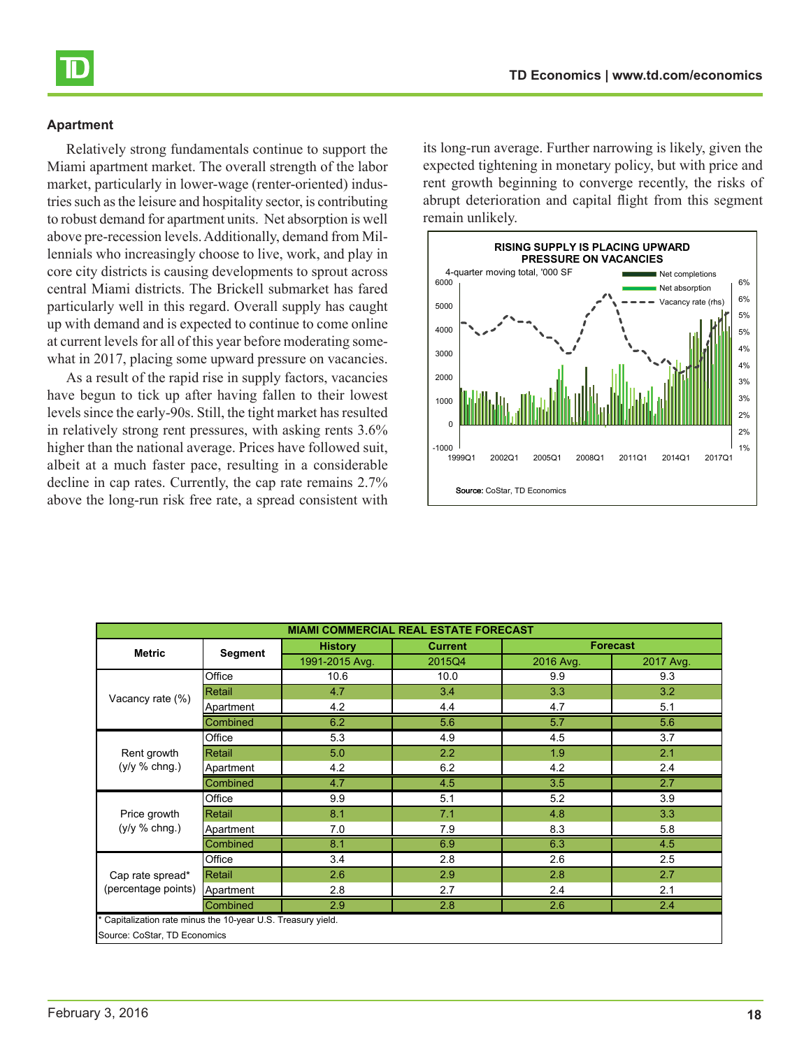Relatively strong fundamentals continue to support the Miami apartment market. The overall strength of the labor market, particularly in lower-wage (renter-oriented) industries such as the leisure and hospitality sector, is contributing to robust demand for apartment units. Net absorption is well above pre-recession levels. Additionally, demand from Millennials who increasingly choose to live, work, and play in core city districts is causing developments to sprout across central Miami districts. The Brickell submarket has fared particularly well in this regard. Overall supply has caught up with demand and is expected to continue to come online at current levels for all of this year before moderating somewhat in 2017, placing some upward pressure on vacancies.

As a result of the rapid rise in supply factors, vacancies have begun to tick up after having fallen to their lowest levels since the early-90s. Still, the tight market has resulted in relatively strong rent pressures, with asking rents 3.6% higher than the national average. Prices have followed suit, albeit at a much faster pace, resulting in a considerable decline in cap rates. Currently, the cap rate remains 2.7% above the long-run risk free rate, a spread consistent with

its long-run average. Further narrowing is likely, given the expected tightening in monetary policy, but with price and rent growth beginning to converge recently, the risks of abrupt deterioration and capital flight from this segment remain unlikely.



| <b>Forecast</b><br><b>History</b><br><b>Current</b><br><b>Metric</b><br><b>Segment</b><br>1991-2015 Avg.<br>2016 Avg.<br>2017 Avg.<br>2015Q4<br>Office<br>9.3<br>10.6<br>10.0<br>9.9<br>3.3<br>4.7<br>3.2<br>Retail<br>3.4<br>Vacancy rate (%)<br>4.2<br>4.7<br>5.1<br>4.4<br>Apartment<br>5.7<br>5.6<br>6.2<br>5.6<br>Combined<br>5.3<br>4.5<br>3.7<br>Office<br>4.9<br>2.1<br>2.2<br>1.9<br>Rent growth<br>Retail<br>5.0<br>(y/y % chng.)<br>4.2<br>6.2<br>4.2<br>2.4<br>Apartment<br>3.5<br>2.7<br>Combined<br>4.7<br>4.5<br>9.9<br>5.2<br>3.9<br>5.1<br>Office<br>4.8<br>3.3<br>Price growth<br>Retail<br>8.1<br>7.1<br>$(y/y %$ chng.)<br>7.9<br>8.3<br>5.8<br>7.0<br>Apartment<br>8.1<br>6.9<br>6.3<br>Combined<br>4.5<br>2.5<br>3.4<br>2.6<br>Office<br>2.8<br>2.8<br>Cap rate spread*<br>2.6<br>2.9<br>2.7<br>Retail<br>(percentage points)<br>2.8<br>2.4<br>2.1<br>2.7<br>Apartment<br>Combined<br>2.9<br>2.8<br>2.6<br>2.4<br>Capitalization rate minus the 10-year U.S. Treasury yield. | <b>MIAMI COMMERCIAL REAL ESTATE FORECAST</b> |  |  |  |  |  |
|----------------------------------------------------------------------------------------------------------------------------------------------------------------------------------------------------------------------------------------------------------------------------------------------------------------------------------------------------------------------------------------------------------------------------------------------------------------------------------------------------------------------------------------------------------------------------------------------------------------------------------------------------------------------------------------------------------------------------------------------------------------------------------------------------------------------------------------------------------------------------------------------------------------------------------------------------------------------------------------------------|----------------------------------------------|--|--|--|--|--|
|                                                                                                                                                                                                                                                                                                                                                                                                                                                                                                                                                                                                                                                                                                                                                                                                                                                                                                                                                                                                    |                                              |  |  |  |  |  |
|                                                                                                                                                                                                                                                                                                                                                                                                                                                                                                                                                                                                                                                                                                                                                                                                                                                                                                                                                                                                    |                                              |  |  |  |  |  |
|                                                                                                                                                                                                                                                                                                                                                                                                                                                                                                                                                                                                                                                                                                                                                                                                                                                                                                                                                                                                    |                                              |  |  |  |  |  |
|                                                                                                                                                                                                                                                                                                                                                                                                                                                                                                                                                                                                                                                                                                                                                                                                                                                                                                                                                                                                    |                                              |  |  |  |  |  |
|                                                                                                                                                                                                                                                                                                                                                                                                                                                                                                                                                                                                                                                                                                                                                                                                                                                                                                                                                                                                    |                                              |  |  |  |  |  |
|                                                                                                                                                                                                                                                                                                                                                                                                                                                                                                                                                                                                                                                                                                                                                                                                                                                                                                                                                                                                    |                                              |  |  |  |  |  |
|                                                                                                                                                                                                                                                                                                                                                                                                                                                                                                                                                                                                                                                                                                                                                                                                                                                                                                                                                                                                    |                                              |  |  |  |  |  |
|                                                                                                                                                                                                                                                                                                                                                                                                                                                                                                                                                                                                                                                                                                                                                                                                                                                                                                                                                                                                    |                                              |  |  |  |  |  |
|                                                                                                                                                                                                                                                                                                                                                                                                                                                                                                                                                                                                                                                                                                                                                                                                                                                                                                                                                                                                    |                                              |  |  |  |  |  |
|                                                                                                                                                                                                                                                                                                                                                                                                                                                                                                                                                                                                                                                                                                                                                                                                                                                                                                                                                                                                    |                                              |  |  |  |  |  |
|                                                                                                                                                                                                                                                                                                                                                                                                                                                                                                                                                                                                                                                                                                                                                                                                                                                                                                                                                                                                    |                                              |  |  |  |  |  |
|                                                                                                                                                                                                                                                                                                                                                                                                                                                                                                                                                                                                                                                                                                                                                                                                                                                                                                                                                                                                    |                                              |  |  |  |  |  |
|                                                                                                                                                                                                                                                                                                                                                                                                                                                                                                                                                                                                                                                                                                                                                                                                                                                                                                                                                                                                    |                                              |  |  |  |  |  |
|                                                                                                                                                                                                                                                                                                                                                                                                                                                                                                                                                                                                                                                                                                                                                                                                                                                                                                                                                                                                    |                                              |  |  |  |  |  |
|                                                                                                                                                                                                                                                                                                                                                                                                                                                                                                                                                                                                                                                                                                                                                                                                                                                                                                                                                                                                    |                                              |  |  |  |  |  |
|                                                                                                                                                                                                                                                                                                                                                                                                                                                                                                                                                                                                                                                                                                                                                                                                                                                                                                                                                                                                    |                                              |  |  |  |  |  |
|                                                                                                                                                                                                                                                                                                                                                                                                                                                                                                                                                                                                                                                                                                                                                                                                                                                                                                                                                                                                    |                                              |  |  |  |  |  |
|                                                                                                                                                                                                                                                                                                                                                                                                                                                                                                                                                                                                                                                                                                                                                                                                                                                                                                                                                                                                    |                                              |  |  |  |  |  |
|                                                                                                                                                                                                                                                                                                                                                                                                                                                                                                                                                                                                                                                                                                                                                                                                                                                                                                                                                                                                    |                                              |  |  |  |  |  |
|                                                                                                                                                                                                                                                                                                                                                                                                                                                                                                                                                                                                                                                                                                                                                                                                                                                                                                                                                                                                    | Source: CoStar, TD Economics                 |  |  |  |  |  |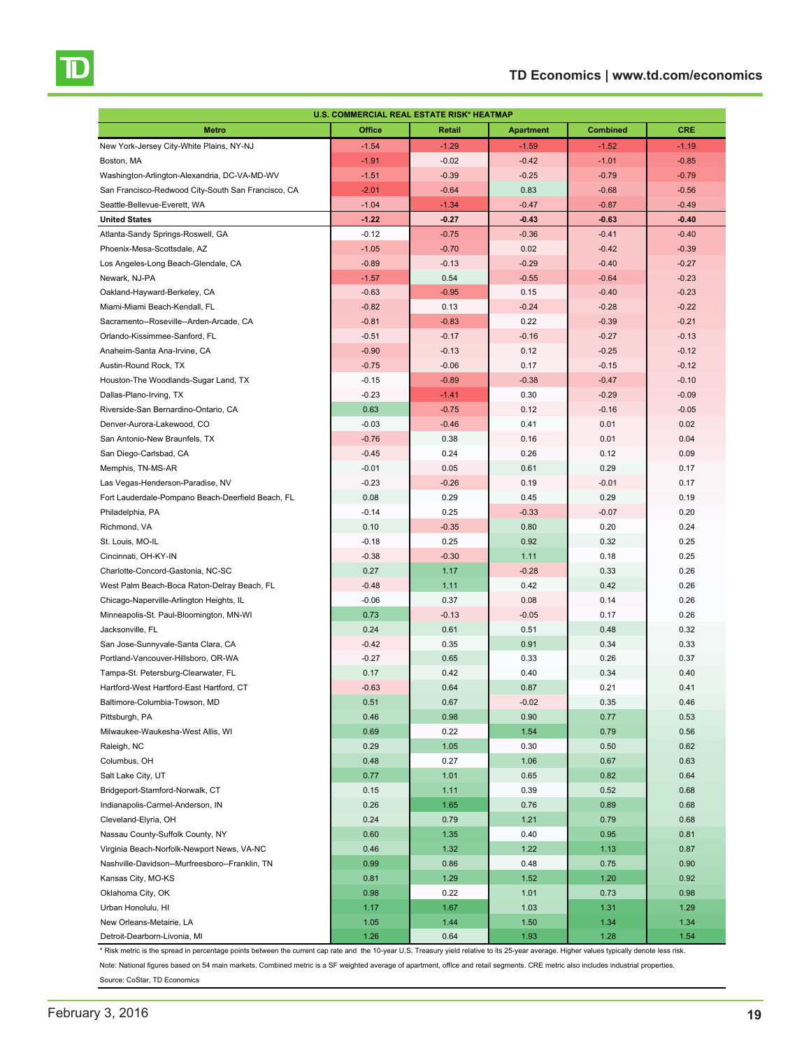# **TD Economics | www.td.com/economics**

<span id="page-18-0"></span>

| U.S. COMMERCIAL REAL ESTATE RISK* HEATMAP          |         |         |                  |                 |            |  |  |
|----------------------------------------------------|---------|---------|------------------|-----------------|------------|--|--|
| <b>Metro</b>                                       | Office  | Retail  | <b>Apartment</b> | <b>Combined</b> | <b>CRE</b> |  |  |
| New York-Jersey City-White Plains, NY-NJ           | $-1.54$ | $-1.29$ | $-1.59$          | $-1.52$         | $-1.19$    |  |  |
| Boston, MA                                         | $-1.91$ | $-0.02$ | $-0.42$          | $-1.01$         | $-0.85$    |  |  |
| Washington-Arlington-Alexandria, DC-VA-MD-WV       | $-1.51$ | $-0.39$ | $-0.25$          | $-0.79$         | $-0.79$    |  |  |
| San Francisco-Redwood City-South San Francisco, CA | $-2.01$ | $-0.64$ | 0.83             | $-0.68$         | $-0.56$    |  |  |
| Seattle-Bellevue-Everett, WA                       | $-1.04$ | $-1.34$ | $-0.47$          | $-0.87$         | $-0.49$    |  |  |
| <b>United States</b>                               | $-1.22$ | $-0.27$ | $-0.43$          | $-0.63$         | $-0.40$    |  |  |
| Atlanta-Sandy Springs-Roswell, GA                  | $-0.12$ | $-0.75$ | $-0.36$          | $-0.41$         | $-0.40$    |  |  |
| Phoenix-Mesa-Scottsdale, AZ                        | $-1.05$ | $-0.70$ | 0.02             | $-0.42$         | $-0.39$    |  |  |
| Los Angeles-Long Beach-Glendale, CA                | $-0.89$ | $-0.13$ | $-0.29$          | $-0.40$         | $-0.27$    |  |  |
| Newark, NJ-PA                                      | $-1.57$ | 0.54    | $-0.55$          | $-0.64$         | $-0.23$    |  |  |
| Oakland-Hayward-Berkeley, CA                       | $-0.63$ | $-0.95$ | 0.15             | $-0.40$         | $-0.23$    |  |  |
| Miami-Miami Beach-Kendall, FL                      | $-0.82$ | 0.13    | $-0.24$          | $-0.28$         | $-0.22$    |  |  |
| Sacramento--Roseville--Arden-Arcade, CA            | $-0.81$ | $-0.83$ | 0.22             | $-0.39$         | $-0.21$    |  |  |
| Orlando-Kissimmee-Sanford, FL                      | $-0.51$ | $-0.17$ | $-0.16$          | $-0.27$         | $-0.13$    |  |  |
| Anaheim-Santa Ana-Irvine, CA                       | $-0.90$ | $-0.13$ | 0.12             | $-0.25$         | $-0.12$    |  |  |
| Austin-Round Rock, TX                              | $-0.75$ | $-0.06$ | 0.17             | $-0.15$         | $-0.12$    |  |  |
| Houston-The Woodlands-Sugar Land, TX               | $-0.15$ | $-0.89$ | $-0.38$          | $-0.47$         | $-0.10$    |  |  |
| Dallas-Plano-Irving, TX                            | $-0.23$ | $-1.41$ | 0.30             | $-0.29$         | $-0.09$    |  |  |
| Riverside-San Bernardino-Ontario, CA               | 0.63    | $-0.75$ | 0.12             | $-0.16$         | $-0.05$    |  |  |
| Denver-Aurora-Lakewood, CO                         | $-0.03$ | $-0.46$ | 0.41             | 0.01            | 0.02       |  |  |
| San Antonio-New Braunfels, TX                      | $-0.76$ | 0.38    | 0.16             | 0.01            | 0.04       |  |  |
| San Diego-Carlsbad, CA                             | $-0.45$ | 0.24    | 0.26             | 0.12            | 0.09       |  |  |
| Memphis, TN-MS-AR                                  | $-0.01$ | 0.05    | 0.61             | 0.29            | 0.17       |  |  |
| Las Vegas-Henderson-Paradise, NV                   | $-0.23$ | $-0.26$ | 0.19             | $-0.01$         | 0.17       |  |  |
| Fort Lauderdale-Pompano Beach-Deerfield Beach, FL  | 0.08    | 0.29    | 0.45             | 0.29            | 0.19       |  |  |
| Philadelphia, PA                                   | $-0.14$ | 0.25    | $-0.33$          | $-0.07$         | 0.20       |  |  |
| Richmond, VA                                       | 0.10    | $-0.35$ | 0.80             | 0.20            | 0.24       |  |  |
| St. Louis, MO-IL                                   | $-0.18$ | 0.25    | 0.92             | 0.32            | 0.25       |  |  |
| Cincinnati, OH-KY-IN                               | $-0.38$ | $-0.30$ | 1.11             | 0.18            | 0.25       |  |  |
| Charlotte-Concord-Gastonia, NC-SC                  | 0.27    | 1.17    | $-0.28$          | 0.33            | 0.26       |  |  |
| West Palm Beach-Boca Raton-Delray Beach, FL        | $-0.48$ | 1.11    | 0.42             | 0.42            | 0.26       |  |  |
| Chicago-Naperville-Arlington Heights, IL           | $-0.06$ | 0.37    | 0.08             | 0.14            | 0.26       |  |  |
| Minneapolis-St. Paul-Bloomington, MN-WI            | 0.73    | $-0.13$ | $-0.05$          | 0.17            | 0.26       |  |  |
| Jacksonville, FL                                   | 0.24    | 0.61    | 0.51             | 0.48            | 0.32       |  |  |
| San Jose-Sunnyvale-Santa Clara, CA                 | $-0.42$ | 0.35    | 0.91             | 0.34            | 0.33       |  |  |
| Portland-Vancouver-Hillsboro, OR-WA                | $-0.27$ | 0.65    | 0.33             | 0.26            | 0.37       |  |  |
| Tampa-St. Petersburg-Clearwater, FL                | 0.17    | 0.42    | 0.40             | 0.34            | 0.40       |  |  |
| Hartford-West Hartford-East Hartford, CT           | $-0.63$ | 0.64    | 0.87             | 0.21            | 0.41       |  |  |
| Baltimore-Columbia-Towson, MD                      | 0.51    | 0.67    | $-0.02$          | 0.35            | 0.46       |  |  |
| Pittsburgh, PA                                     | 0.46    | 0.98    | 0.90             | 0.77            | 0.53       |  |  |
| Milwaukee-Waukesha-West Allis, WI                  | 0.69    | 0.22    | 1.54             | 0.79            | 0.56       |  |  |
| Raleigh, NC                                        | 0.29    | 1.05    | 0.30             | 0.50            | 0.62       |  |  |
| Columbus, OH                                       | 0.48    | 0.27    | 1.06             | 0.67            | 0.63       |  |  |
| Salt Lake City, UT                                 | 0.77    | 1.01    | 0.65             | 0.82            | 0.64       |  |  |
| Bridgeport-Stamford-Norwalk, CT                    | 0.15    | 1.11    | 0.39             | 0.52            | 0.68       |  |  |
| Indianapolis-Carmel-Anderson, IN                   | 0.26    | 1.65    | 0.76             | 0.89            | 0.68       |  |  |
| Cleveland-Elyria, OH                               | 0.24    | 0.79    | 1.21             | 0.79            | 0.68       |  |  |
| Nassau County-Suffolk County, NY                   | 0.60    | 1.35    | 0.40             | 0.95            | 0.81       |  |  |
| Virginia Beach-Norfolk-Newport News, VA-NC         | 0.46    | 1.32    | 1.22             | 1.13            | 0.87       |  |  |
| Nashville-Davidson--Murfreesboro--Franklin, TN     | 0.99    | 0.86    | 0.48             | 0.75            | 0.90       |  |  |
| Kansas City, MO-KS                                 | 0.81    | 1.29    | 1.52             | 1.20            | 0.92       |  |  |
| Oklahoma City, OK                                  | 0.98    | 0.22    | 1.01             | 0.73            | 0.98       |  |  |
| Urban Honolulu, HI                                 | 1.17    | 1.67    | 1.03             | 1.31            | 1.29       |  |  |
| New Orleans-Metairie, LA                           | 1.05    | 1.44    | 1.50             | 1.34            | 1.34       |  |  |
| Detroit-Dearborn-Livonia, MI                       | 1.26    | 0.64    | 1.93             | 1.28            | 1.54       |  |  |

\* Risk metric is the spread in percentage points between the current cap rate and the 10-year U.S. Treasury yield relative to its 25-year average. Higher values typically denote less risk. Note: National figures based on 54 main markets. Combined metric is a SF weighted average of apartment, office and retail segments. CRE metric also includes industrial properties. Source: CoStar, TD Economics